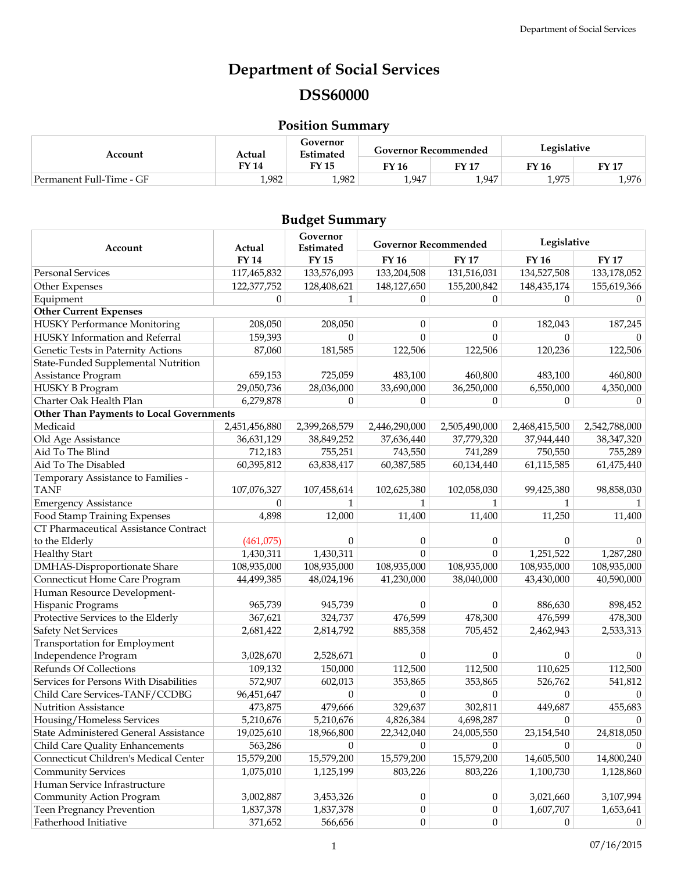# **Department of Social Services DSS60000**

# **Position Summary**

| Account                  | Actual | Governor<br>Estimated |       | <b>Governor Recommended</b> | Legislative |             |  |
|--------------------------|--------|-----------------------|-------|-----------------------------|-------------|-------------|--|
|                          | FY 14  | <b>FY 15</b>          | FY 16 | <b>FY 17</b>                | FY 16       | <b>FY17</b> |  |
| Permanent Full-Time - GF | 1,982  | 1,982                 | 1,947 | 1.947                       | 1,975       | 1,976       |  |

# **Budget Summary**

| Account                                           | Actual        | Governor<br>Estimated | <b>Governor Recommended</b> |                  | Legislative   |                |
|---------------------------------------------------|---------------|-----------------------|-----------------------------|------------------|---------------|----------------|
|                                                   | <b>FY 14</b>  | <b>FY15</b>           | <b>FY 16</b>                | <b>FY17</b>      | <b>FY 16</b>  | <b>FY 17</b>   |
| <b>Personal Services</b>                          | 117,465,832   | 133,576,093           | 133,204,508                 | 131,516,031      | 134,527,508   | 133,178,052    |
| Other Expenses                                    | 122,377,752   | 128,408,621           | 148,127,650                 | 155,200,842      | 148, 435, 174 | 155,619,366    |
| Equipment                                         | $\Omega$      | $\mathbf{1}$          | $\Omega$                    | $\Omega$         | $\mathbf{0}$  | $\Omega$       |
| <b>Other Current Expenses</b>                     |               |                       |                             |                  |               |                |
| <b>HUSKY Performance Monitoring</b>               | 208,050       | 208,050               | $\theta$                    | $\mathbf{0}$     | 182,043       | 187,245        |
| HUSKY Information and Referral                    | 159,393       | $\Omega$              | $\Omega$                    | $\Omega$         | $\Omega$      | $\Omega$       |
| Genetic Tests in Paternity Actions                | 87,060        | 181,585               | 122,506                     | 122,506          | 120,236       | 122,506        |
| State-Funded Supplemental Nutrition               |               |                       |                             |                  |               |                |
| Assistance Program                                | 659,153       | 725,059               | 483,100                     | 460,800          | 483,100       | 460,800        |
| HUSKY B Program                                   | 29,050,736    | 28,036,000            | 33,690,000                  | 36,250,000       | 6,550,000     | 4,350,000      |
| Charter Oak Health Plan                           | 6,279,878     | $\boldsymbol{0}$      | $\theta$                    | $\mathbf{0}$     | 0             | $\theta$       |
| <b>Other Than Payments to Local Governments</b>   |               |                       |                             |                  |               |                |
| Medicaid                                          | 2,451,456,880 | 2,399,268,579         | 2,446,290,000               | 2,505,490,000    | 2,468,415,500 | 2,542,788,000  |
| Old Age Assistance                                | 36,631,129    | 38,849,252            | 37,636,440                  | 37,779,320       | 37,944,440    | 38,347,320     |
| Aid To The Blind                                  | 712,183       | 755,251               | 743,550                     | 741,289          | 750,550       | 755,289        |
| Aid To The Disabled                               | 60,395,812    | 63,838,417            | 60,387,585                  | 60,134,440       | 61,115,585    | 61,475,440     |
| Temporary Assistance to Families -<br><b>TANF</b> | 107,076,327   | 107,458,614           | 102,625,380                 | 102,058,030      | 99,425,380    | 98,858,030     |
| <b>Emergency Assistance</b>                       | $\Omega$      | 1                     |                             | 1                | 1             | 1              |
| Food Stamp Training Expenses                      | 4,898         | 12,000                | 11,400                      | 11,400           | 11,250        | 11,400         |
| CT Pharmaceutical Assistance Contract             |               |                       |                             |                  |               |                |
| to the Elderly                                    | (461,075)     | $\theta$              | $\theta$                    | 0                | $\theta$      | $\theta$       |
| <b>Healthy Start</b>                              | 1,430,311     | 1,430,311             | $\theta$                    | $\theta$         | 1,251,522     | 1,287,280      |
| DMHAS-Disproportionate Share                      | 108,935,000   | 108,935,000           | 108,935,000                 | 108,935,000      | 108,935,000   | 108,935,000    |
| Connecticut Home Care Program                     | 44,499,385    | 48,024,196            | 41,230,000                  | 38,040,000       | 43,430,000    | 40,590,000     |
| Human Resource Development-                       |               |                       |                             |                  |               |                |
| Hispanic Programs                                 | 965,739       | 945,739               | $\theta$                    | $\theta$         | 886,630       | 898,452        |
| Protective Services to the Elderly                | 367,621       | 324,737               | 476,599                     | 478,300          | 476,599       | 478,300        |
| <b>Safety Net Services</b>                        | 2,681,422     | 2,814,792             | 885,358                     | 705,452          | 2,462,943     | 2,533,313      |
| Transportation for Employment                     |               |                       |                             |                  |               |                |
| Independence Program                              | 3,028,670     | 2,528,671             | $\Omega$                    | $\theta$         | 0             | 0              |
| Refunds Of Collections                            | 109,132       | 150,000               | 112,500                     | 112,500          | 110,625       | 112,500        |
| Services for Persons With Disabilities            | 572,907       | 602,013               | 353,865                     | 353,865          | 526,762       | 541,812        |
| Child Care Services-TANF/CCDBG                    | 96,451,647    | $\overline{0}$        | $\theta$                    | $\theta$         | 0             | $\overline{0}$ |
| Nutrition Assistance                              | 473,875       | 479,666               | 329,637                     | 302,811          | 449,687       | 455,683        |
| Housing/Homeless Services                         | 5,210,676     | 5,210,676             | 4,826,384                   | 4,698,287        | $\Omega$      | $\mathbf{0}$   |
| State Administered General Assistance             | 19,025,610    | 18,966,800            | 22,342,040                  | 24,005,550       | 23,154,540    | 24,818,050     |
| Child Care Quality Enhancements                   | 563,286       | $\overline{0}$        | $\theta$                    | $\theta$         | $\theta$      | $\theta$       |
| Connecticut Children's Medical Center             | 15,579,200    | 15,579,200            | 15,579,200                  | 15,579,200       | 14,605,500    | 14,800,240     |
| <b>Community Services</b>                         | 1,075,010     | 1,125,199             | 803,226                     | 803,226          | 1,100,730     | 1,128,860      |
| Human Service Infrastructure                      |               |                       |                             |                  |               |                |
| Community Action Program                          | 3,002,887     | 3,453,326             | $\boldsymbol{0}$            | $\boldsymbol{0}$ | 3,021,660     | 3,107,994      |
| Teen Pregnancy Prevention                         | 1,837,378     | 1,837,378             | $\boldsymbol{0}$            | $\boldsymbol{0}$ | 1,607,707     | 1,653,641      |
| Fatherhood Initiative                             | 371,652       | 566,656               | $\boldsymbol{0}$            | $\mathbf{0}$     | 0             | $\theta$       |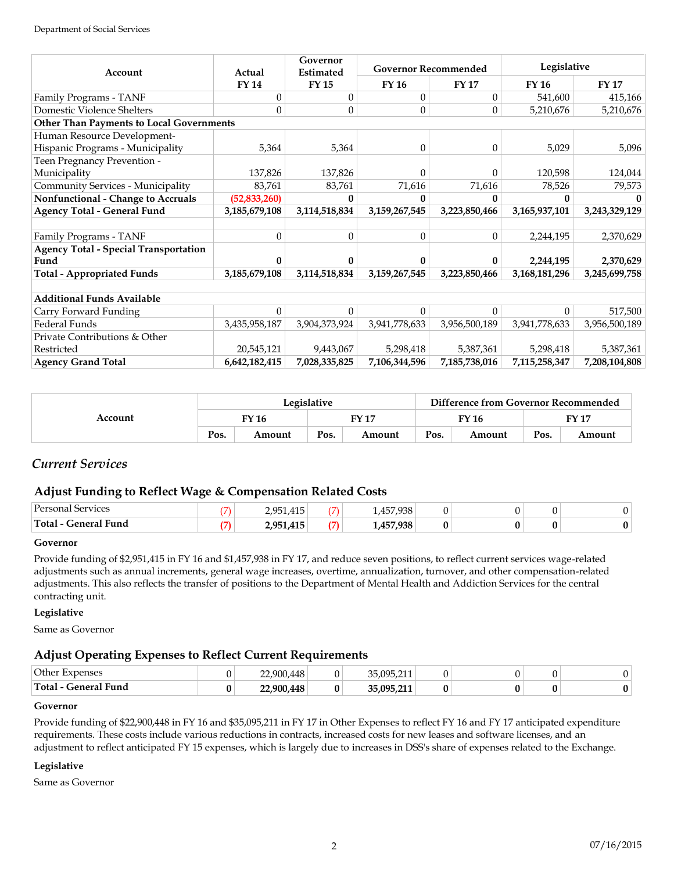| Account                                         | Actual         | Governor<br>Estimated | <b>Governor Recommended</b> |                  | Legislative   |               |
|-------------------------------------------------|----------------|-----------------------|-----------------------------|------------------|---------------|---------------|
|                                                 | FY 14          | <b>FY15</b>           | <b>FY 16</b>                | <b>FY 17</b>     | <b>FY 16</b>  | <b>FY 17</b>  |
| Family Programs - TANF                          | $\Omega$       | $\theta$              | $\Omega$                    | $\Omega$         | 541,600       | 415,166       |
| Domestic Violence Shelters                      | 0              | $\Omega$              | $\Omega$                    | $\boldsymbol{0}$ | 5,210,676     | 5,210,676     |
| <b>Other Than Payments to Local Governments</b> |                |                       |                             |                  |               |               |
| Human Resource Development-                     |                |                       |                             |                  |               |               |
| Hispanic Programs - Municipality                | 5,364          | 5,364                 | $\Omega$                    | $\Omega$         | 5,029         | 5,096         |
| Teen Pregnancy Prevention -                     |                |                       |                             |                  |               |               |
| Municipality                                    | 137,826        | 137,826               |                             | $\Omega$         | 120,598       | 124,044       |
| Community Services - Municipality               | 83,761         | 83,761                | 71,616                      | 71,616           | 78,526        | 79,573        |
| Nonfunctional - Change to Accruals              | (52, 833, 260) | 0                     | $\mathbf{0}$                | $\mathbf{0}$     | 0             |               |
| <b>Agency Total - General Fund</b>              | 3,185,679,108  | 3,114,518,834         | 3,159,267,545               | 3,223,850,466    | 3,165,937,101 | 3,243,329,129 |
|                                                 |                |                       |                             |                  |               |               |
| Family Programs - TANF                          | 0              | $\theta$              | $\Omega$                    | $\theta$         | 2,244,195     | 2,370,629     |
| <b>Agency Total - Special Transportation</b>    |                |                       |                             |                  |               |               |
| Fund                                            |                | 0                     | 0                           | $\mathbf{0}$     | 2,244,195     | 2,370,629     |
| <b>Total - Appropriated Funds</b>               | 3,185,679,108  | 3,114,518,834         | 3,159,267,545               | 3,223,850,466    | 3,168,181,296 | 3,245,699,758 |
|                                                 |                |                       |                             |                  |               |               |
| <b>Additional Funds Available</b>               |                |                       |                             |                  |               |               |
| Carry Forward Funding                           | 0              | 0                     | $\Omega$                    | $\Omega$         | $\Omega$      | 517,500       |
| Federal Funds                                   | 3,435,958,187  | 3,904,373,924         | 3,941,778,633               | 3,956,500,189    | 3,941,778,633 | 3,956,500,189 |
| Private Contributions & Other                   |                |                       |                             |                  |               |               |
| Restricted                                      | 20,545,121     | 9,443,067             | 5,298,418                   | 5,387,361        | 5,298,418     | 5,387,361     |
| <b>Agency Grand Total</b>                       | 6,642,182,415  | 7,028,335,825         | 7,106,344,596               | 7,185,738,016    | 7,115,258,347 | 7,208,104,808 |

| Account | Legislative |        |       |        | Difference from Governor Recommended |        |       |        |
|---------|-------------|--------|-------|--------|--------------------------------------|--------|-------|--------|
|         | TY 16       |        | EV 17 |        | FY 16                                |        | FY 17 |        |
|         | Pos.        | Amount | Pos.  | Amount | Pos.                                 | Amount | Pos.  | Amount |

# *Current Services*

# **Adjust Funding to Reflect Wage & Compensation Related Costs**

| Personal<br><b>pervices</b> | ⇁   | 2,951,415 |               | 1,457,938 |  |                |
|-----------------------------|-----|-----------|---------------|-----------|--|----------------|
| 'Total - General Fund       | – 1 | 2,951,415 | $\rightarrow$ | 1,457,938 |  | 0 <sup>1</sup> |

### **Governor**

Provide funding of \$2,951,415 in FY 16 and \$1,457,938 in FY 17, and reduce seven positions, to reflect current services wage-related adjustments such as annual increments, general wage increases, overtime, annualization, turnover, and other compensation-related adjustments. This also reflects the transfer of positions to the Department of Mental Health and Addiction Services for the central contracting unit.

### **Legislative**

Same as Governor

## **Adjust Operating Expenses to Reflect Current Requirements**

| Other<br>Expenses            | 22,900,448 |   | 35.095.211<br><b>JU/U/U/411</b> |  |  |
|------------------------------|------------|---|---------------------------------|--|--|
| Total<br><b>General Fund</b> | 22.900.448 | υ | 35.005.211<br>,,,,              |  |  |

#### **Governor**

Provide funding of \$22,900,448 in FY 16 and \$35,095,211 in FY 17 in Other Expenses to reflect FY 16 and FY 17 anticipated expenditure requirements. These costs include various reductions in contracts, increased costs for new leases and software licenses, and an adjustment to reflect anticipated FY 15 expenses, which is largely due to increases in DSS's share of expenses related to the Exchange.

### **Legislative**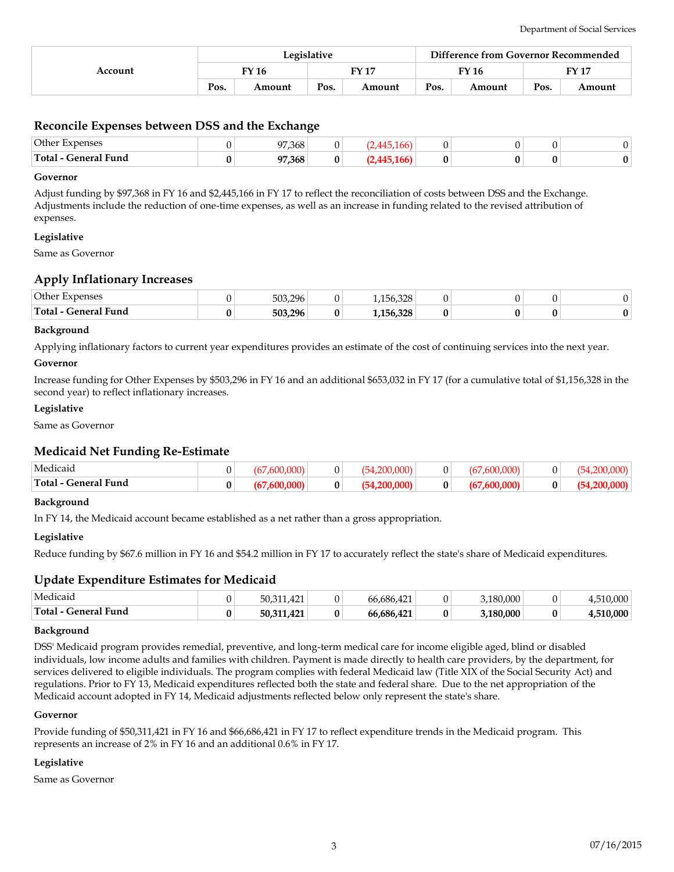|         | Legislative |        |      |              | Difference from Governor Recommended |        |      |              |  |
|---------|-------------|--------|------|--------------|--------------------------------------|--------|------|--------------|--|
| Account | FY 16       |        |      | <b>FY 17</b> |                                      | FY 16  |      | <b>FY 17</b> |  |
|         | Pos.        | Amount | Pos. | Amount       | Pos.                                 | Amount | Pos. | Amount       |  |

## **Reconcile Expenses between DSS and the Exchange**

| Other Expenses       | 97,368 |   |  |   |  |
|----------------------|--------|---|--|---|--|
| Total - General Fund | 97,368 | 0 |  | v |  |

#### **Governor**

Adjust funding by \$97,368 in FY 16 and \$2,445,166 in FY 17 to reflect the reconciliation of costs between DSS and the Exchange. Adjustments include the reduction of one-time expenses, as well as an increase in funding related to the revised attribution of expenses.

#### **Legislative**

Same as Governor

## **Apply Inflationary Increases**

| Other Expenses          | 503,296 |   | 220<br>156<br>1,190,926 |  |  |
|-------------------------|---------|---|-------------------------|--|--|
| Total -<br>General Fund | 503,296 | U | 1,156,328               |  |  |

#### **Background**

Applying inflationary factors to current year expenditures provides an estimate of the cost of continuing services into the next year.

#### **Governor**

Increase funding for Other Expenses by \$503,296 in FY 16 and an additional \$653,032 in FY 17 (for a cumulative total of \$1,156,328 in the second year) to reflect inflationary increases.

#### **Legislative**

Same as Governor

### **Medicaid Net Funding Re-Estimate**

| Medicaio                                   | ⌒      |  |   |   | . |  |
|--------------------------------------------|--------|--|---|---|---|--|
| Total-<br>$\sim$ $\sim$<br>General<br>Funa | Λ<br>v |  | Λ | " |   |  |

#### **Background**

In FY 14, the Medicaid account became established as a net rather than a gross appropriation.

#### **Legislative**

Reduce funding by \$67.6 million in FY 16 and \$54.2 million in FY 17 to accurately reflect the state's share of Medicaid expenditures.

### **Update Expenditure Estimates for Medicaid**

| Medicaid             | 101<br>50,311,421 |   | 66.686.421 |   | .180.000  |              | ,000  |
|----------------------|-------------------|---|------------|---|-----------|--------------|-------|
| Total - General Fund | 50,311,421        | 0 | 66.686.421 | 0 | 3.180.000 | $\mathbf{0}$ | 0.000 |

#### **Background**

DSS' Medicaid program provides remedial, preventive, and long-term medical care for income eligible aged, blind or disabled individuals, low income adults and families with children. Payment is made directly to health care providers, by the department, for services delivered to eligible individuals. The program complies with federal Medicaid law (Title XIX of the Social Security Act) and regulations. Prior to FY 13, Medicaid expenditures reflected both the state and federal share. Due to the net appropriation of the Medicaid account adopted in FY 14, Medicaid adjustments reflected below only represent the state's share.

#### **Governor**

Provide funding of \$50,311,421 in FY 16 and \$66,686,421 in FY 17 to reflect expenditure trends in the Medicaid program. This represents an increase of 2% in FY 16 and an additional 0.6% in FY 17.

#### **Legislative**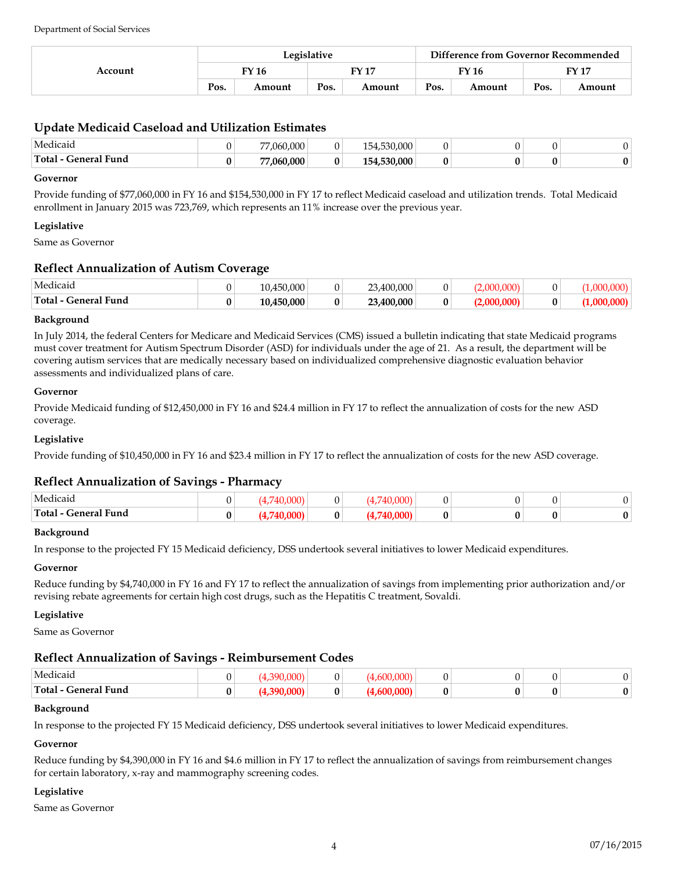| Account | Legislative  |        |       |        | Difference from Governor Recommended |        |              |        |
|---------|--------------|--------|-------|--------|--------------------------------------|--------|--------------|--------|
|         | <b>FY 16</b> |        | FY 17 |        | FY 16                                |        | <b>FY 17</b> |        |
|         | Pos.         | Amount | Pos.  | Amount | Pos.                                 | Amount | Pos.         | Amount |

# **Update Medicaid Caseload and Utilization Estimates**

| Medicaid                               | 77.060.000 |   | 530.000<br>$\Delta$ |  |   |  |
|----------------------------------------|------------|---|---------------------|--|---|--|
| Total-<br>$\mathbf{1}$<br>General Fund | 77.060.000 | 0 | $-530.000 +$<br>∣∽4 |  | 0 |  |

#### **Governor**

Provide funding of \$77,060,000 in FY 16 and \$154,530,000 in FY 17 to reflect Medicaid caseload and utilization trends. Total Medicaid enrollment in January 2015 was 723,769, which represents an 11% increase over the previous year.

#### **Legislative**

Same as Governor

## **Reflect Annualization of Autism Coverage**

| Medicaic                |   | 10.450.000 |   | 3,400,000<br>າາ |  |  |
|-------------------------|---|------------|---|-----------------|--|--|
| Total -<br>General Fund | ν | 10.450.000 | 0 | 23.400.000      |  |  |

#### **Background**

In July 2014, the federal Centers for Medicare and Medicaid Services (CMS) issued a bulletin indicating that state Medicaid programs must cover treatment for Autism Spectrum Disorder (ASD) for individuals under the age of 21. As a result, the department will be covering autism services that are medically necessary based on individualized comprehensive diagnostic evaluation behavior assessments and individualized plans of care.

#### **Governor**

Provide Medicaid funding of \$12,450,000 in FY 16 and \$24.4 million in FY 17 to reflect the annualization of costs for the new ASD coverage.

#### **Legislative**

Provide funding of \$10,450,000 in FY 16 and \$23.4 million in FY 17 to reflect the annualization of costs for the new ASD coverage.

# **Reflect Annualization of Savings - Pharmacy**

| Medicaio<br>.                                                                                                                                                                                                                                                                                                                                                                                                                                                                                                                              |  |   |  |  |  |
|--------------------------------------------------------------------------------------------------------------------------------------------------------------------------------------------------------------------------------------------------------------------------------------------------------------------------------------------------------------------------------------------------------------------------------------------------------------------------------------------------------------------------------------------|--|---|--|--|--|
| $^{\bullet}$ Fund<br>'Total<br>$\pm$ anar $\tau$<br>$\begin{array}{cccccccccccccc} \multicolumn{4}{c}{} & \multicolumn{4}{c}{} & \multicolumn{4}{c}{} & \multicolumn{4}{c}{} & \multicolumn{4}{c}{} & \multicolumn{4}{c}{} & \multicolumn{4}{c}{} & \multicolumn{4}{c}{} & \multicolumn{4}{c}{} & \multicolumn{4}{c}{} & \multicolumn{4}{c}{} & \multicolumn{4}{c}{} & \multicolumn{4}{c}{} & \multicolumn{4}{c}{} & \multicolumn{4}{c}{} & \multicolumn{4}{c}{} & \multicolumn{4}{c}{} & \multicolumn{4}{c}{} & \multicolumn{4}{c}{} & \$ |  | u |  |  |  |

#### **Background**

In response to the projected FY 15 Medicaid deficiency, DSS undertook several initiatives to lower Medicaid expenditures.

#### **Governor**

Reduce funding by \$4,740,000 in FY 16 and FY 17 to reflect the annualization of savings from implementing prior authorization and/or revising rebate agreements for certain high cost drugs, such as the Hepatitis C treatment, Sovaldi.

#### **Legislative**

Same as Governor

# **Reflect Annualization of Savings - Reimbursement Codes**

| . .<br>Medicaic        |  |  |  |  |
|------------------------|--|--|--|--|
| General Fund<br>Total- |  |  |  |  |

#### **Background**

In response to the projected FY 15 Medicaid deficiency, DSS undertook several initiatives to lower Medicaid expenditures.

#### **Governor**

Reduce funding by \$4,390,000 in FY 16 and \$4.6 million in FY 17 to reflect the annualization of savings from reimbursement changes for certain laboratory, x-ray and mammography screening codes.

#### **Legislative**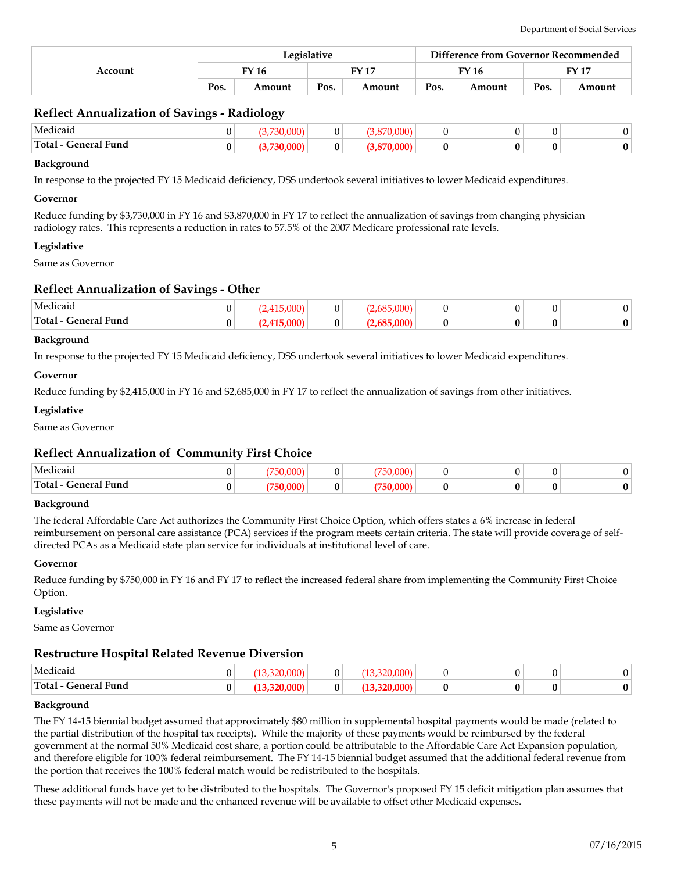|         | Legislative |        |      |        |      | Difference from Governor Recommended |      |        |  |
|---------|-------------|--------|------|--------|------|--------------------------------------|------|--------|--|
| Account | FY 16       |        |      | FV 17  |      | FY 16                                |      | FY 17  |  |
|         | Pos.        | Amount | Pos. | Amount | Pos. | Amount                               | Pos. | Amount |  |

# **Reflect Annualization of Savings - Radiology**

| Medicaio                    |  |  |  |  |
|-----------------------------|--|--|--|--|
| <b>Total - General Fund</b> |  |  |  |  |

#### **Background**

In response to the projected FY 15 Medicaid deficiency, DSS undertook several initiatives to lower Medicaid expenditures.

#### **Governor**

Reduce funding by \$3,730,000 in FY 16 and \$3,870,000 in FY 17 to reflect the annualization of savings from changing physician radiology rates. This represents a reduction in rates to 57.5% of the 2007 Medicare professional rate levels.

#### **Legislative**

Same as Governor

### **Reflect Annualization of Savings - Other**

| . .<br>Medicaio          | nno) |   | $\sim$ |  |  |
|--------------------------|------|---|--------|--|--|
| General Fund<br>'Total - | וממח | 0 | nnn    |  |  |

#### **Background**

In response to the projected FY 15 Medicaid deficiency, DSS undertook several initiatives to lower Medicaid expenditures.

#### **Governor**

Reduce funding by \$2,415,000 in FY 16 and \$2,685,000 in FY 17 to reflect the annualization of savings from other initiatives.

#### **Legislative**

Same as Governor

### **Reflect Annualization of Community First Choice**

| Medicaio             | $\sim$ $\sim$ $\sim$ |   | $\sim$ $\sim$ $\sim$ |  |  |
|----------------------|----------------------|---|----------------------|--|--|
| Total - General Fund |                      | 0 | ano:                 |  |  |

#### **Background**

The federal Affordable Care Act authorizes the Community First Choice Option, which offers states a 6% increase in federal reimbursement on personal care assistance (PCA) services if the program meets certain criteria. The state will provide coverage of selfdirected PCAs as a Medicaid state plan service for individuals at institutional level of care.

#### **Governor**

Reduce funding by \$750,000 in FY 16 and FY 17 to reflect the increased federal share from implementing the Community First Choice Option.

#### **Legislative**

Same as Governor

### **Restructure Hospital Related Revenue Diversion**

| Medicaio                                                                                                                                                                                                                                                                                                                                                                                                                                                                                                       |   |  | n o o |  |                |
|----------------------------------------------------------------------------------------------------------------------------------------------------------------------------------------------------------------------------------------------------------------------------------------------------------------------------------------------------------------------------------------------------------------------------------------------------------------------------------------------------------------|---|--|-------|--|----------------|
| Total - General Fund<br>$\begin{array}{cccccccccccccc} \multicolumn{4}{c}{} & \multicolumn{4}{c}{} & \multicolumn{4}{c}{} & \multicolumn{4}{c}{} & \multicolumn{4}{c}{} & \multicolumn{4}{c}{} & \multicolumn{4}{c}{} & \multicolumn{4}{c}{} & \multicolumn{4}{c}{} & \multicolumn{4}{c}{} & \multicolumn{4}{c}{} & \multicolumn{4}{c}{} & \multicolumn{4}{c}{} & \multicolumn{4}{c}{} & \multicolumn{4}{c}{} & \multicolumn{4}{c}{} & \multicolumn{4}{c}{} & \multicolumn{4}{c}{} & \multicolumn{4}{c}{} & \$ | ν |  |       |  | 0 <sup>1</sup> |

#### **Background**

The FY 14-15 biennial budget assumed that approximately \$80 million in supplemental hospital payments would be made (related to the partial distribution of the hospital tax receipts). While the majority of these payments would be reimbursed by the federal government at the normal 50% Medicaid cost share, a portion could be attributable to the Affordable Care Act Expansion population, and therefore eligible for 100% federal reimbursement. The FY 14-15 biennial budget assumed that the additional federal revenue from the portion that receives the 100% federal match would be redistributed to the hospitals.

These additional funds have yet to be distributed to the hospitals. The Governor's proposed FY 15 deficit mitigation plan assumes that these payments will not be made and the enhanced revenue will be available to offset other Medicaid expenses.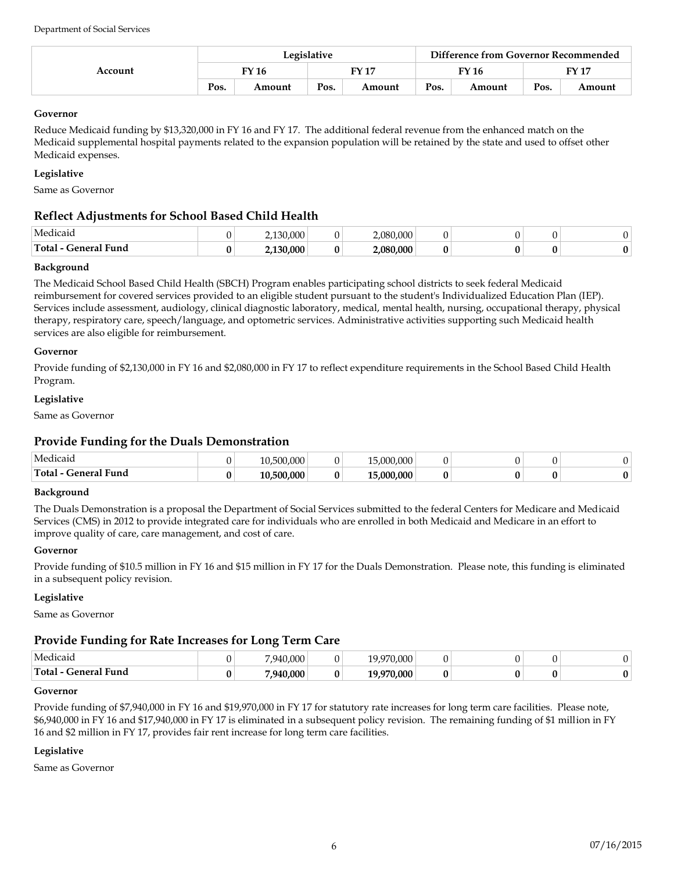| Account | Legislative |        |      |        |      | Difference from Governor Recommended |      |        |  |
|---------|-------------|--------|------|--------|------|--------------------------------------|------|--------|--|
|         | FY 16       |        |      | FY 17  |      | FY 16                                |      | FY 17  |  |
|         | Pos.        | Amount | Pos. | Amount | Pos. | Amount                               | Pos. | Amount |  |

# **Governor**

Reduce Medicaid funding by \$13,320,000 in FY 16 and FY 17. The additional federal revenue from the enhanced match on the Medicaid supplemental hospital payments related to the expansion population will be retained by the state and used to offset other Medicaid expenses.

# **Legislative**

Same as Governor

# **Reflect Adjustments for School Based Child Health**

| Medicaio                                        | ◠ | $\Omega$<br>,,,,,,, |   | 1.000<br>2.08C |  |  |
|-------------------------------------------------|---|---------------------|---|----------------|--|--|
| Tota.<br>$\sim$ $\sim$<br>. Fund<br>.enera<br>. | 0 | 000<br>ww           | 0 | 2.080.000      |  |  |

### **Background**

The Medicaid School Based Child Health (SBCH) Program enables participating school districts to seek federal Medicaid reimbursement for covered services provided to an eligible student pursuant to the student's Individualized Education Plan (IEP). Services include assessment, audiology, clinical diagnostic laboratory, medical, mental health, nursing, occupational therapy, physical therapy, respiratory care, speech/language, and optometric services. Administrative activities supporting such Medicaid health services are also eligible for reimbursement.

#### **Governor**

Provide funding of \$2,130,000 in FY 16 and \$2,080,000 in FY 17 to reflect expenditure requirements in the School Based Child Health Program.

#### **Legislative**

Same as Governor

# **Provide Funding for the Duals Demonstration**

| Medicaid              | 10,500,000 | $.000^+$<br>$\Omega$     |  |   |  |
|-----------------------|------------|--------------------------|--|---|--|
| Total<br>General Fund | 10.500.000 | $5.000.000^\circ$<br>1 E |  | v |  |

#### **Background**

The Duals Demonstration is a proposal the Department of Social Services submitted to the federal Centers for Medicare and Medicaid Services (CMS) in 2012 to provide integrated care for individuals who are enrolled in both Medicaid and Medicare in an effort to improve quality of care, care management, and cost of care.

### **Governor**

Provide funding of \$10.5 million in FY 16 and \$15 million in FY 17 for the Duals Demonstration. Please note, this funding is eliminated in a subsequent policy revision.

### **Legislative**

Same as Governor

# **Provide Funding for Rate Increases for Long Term Care**

| Medicaid                   | 40.000<br>940 |   | $\Omega$<br>J.UUU |  |   |  |
|----------------------------|---------------|---|-------------------|--|---|--|
| Total -<br>Fund<br>General | .940.000      | 0 | $0.000^+$<br>1 C  |  | v |  |

#### **Governor**

Provide funding of \$7,940,000 in FY 16 and \$19,970,000 in FY 17 for statutory rate increases for long term care facilities. Please note, \$6,940,000 in FY 16 and \$17,940,000 in FY 17 is eliminated in a subsequent policy revision. The remaining funding of \$1 million in FY 16 and \$2 million in FY 17, provides fair rent increase for long term care facilities.

### **Legislative**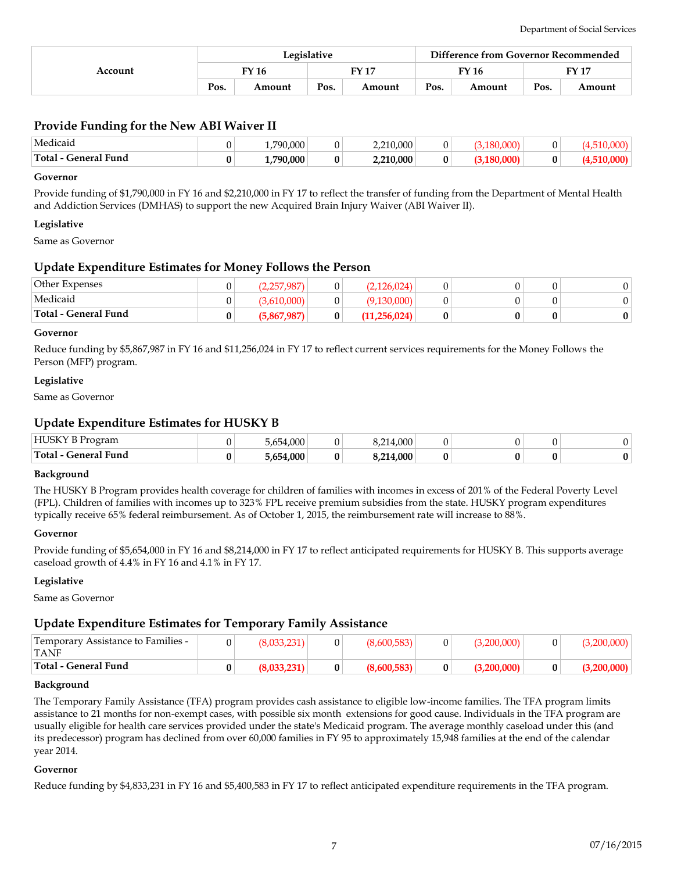|         | Legislative |        |                        |        | Difference from Governor Recommended |        |      |        |
|---------|-------------|--------|------------------------|--------|--------------------------------------|--------|------|--------|
| Account |             | FY 16  | $\Gamma$ Y 17<br>FY 16 |        |                                      | EV 17  |      |        |
|         | Pos.        | Amount | Pos.                   | Amount | Pos.                                 | Amount | Pos. | Amount |

# **Provide Funding for the New ABI Waiver II**

| Medicaid                 |   | .790.000<br>L , / |   | 10.000<br>.<br>- 11-    |  |  |
|--------------------------|---|-------------------|---|-------------------------|--|--|
| Total-<br>- General Fund | v | .790.000<br>--    | 0 | 2.210.000<br>$f = f(x)$ |  |  |

#### **Governor**

Provide funding of \$1,790,000 in FY 16 and \$2,210,000 in FY 17 to reflect the transfer of funding from the Department of Mental Health and Addiction Services (DMHAS) to support the new Acquired Brain Injury Waiver (ABI Waiver II).

#### **Legislative**

Same as Governor

## **Update Expenditure Estimates for Money Follows the Person**

| Other Expenses       | 2,257,987   |   | (2, 126, 024) |  |   |
|----------------------|-------------|---|---------------|--|---|
| Medicaid             | 3,610,000   |   | (9,130,000)   |  |   |
| Total - General Fund | (5,867,987) | 0 | (11,256,024)  |  | 0 |

#### **Governor**

Reduce funding by \$5,867,987 in FY 16 and \$11,256,024 in FY 17 to reflect current services requirements for the Money Follows the Person (MFP) program.

#### **Legislative**

Same as Governor

# **Update Expenditure Estimates for HUSKY B**

| <b>HUSKY B</b><br>rogram      | .654.000<br>654 | .000.           |  |   |  |
|-------------------------------|-----------------|-----------------|--|---|--|
| Total-<br><b>General Fund</b> | .654.000        | .214.000<br>,,, |  | v |  |

#### **Background**

The HUSKY B Program provides health coverage for children of families with incomes in excess of 201% of the Federal Poverty Level (FPL). Children of families with incomes up to 323% FPL receive premium subsidies from the state. HUSKY program expenditures typically receive 65% federal reimbursement. As of October 1, 2015, the reimbursement rate will increase to 88%.

#### **Governor**

Provide funding of \$5,654,000 in FY 16 and \$8,214,000 in FY 17 to reflect anticipated requirements for HUSKY B. This supports average caseload growth of 4.4% in FY 16 and 4.1% in FY 17.

#### **Legislative**

Same as Governor

### **Update Expenditure Estimates for Temporary Family Assistance**

| <sup>1</sup> Temporary Assistance to Families -<br><b>TANF</b> |   |   | 0 |  | ,∠UU,UUU |
|----------------------------------------------------------------|---|---|---|--|----------|
| Total - General Fund                                           | 0 | 0 |   |  |          |

#### **Background**

The Temporary Family Assistance (TFA) program provides cash assistance to eligible low-income families. The TFA program limits assistance to 21 months for non-exempt cases, with possible six month extensions for good cause. Individuals in the TFA program are usually eligible for health care services provided under the state's Medicaid program. The average monthly caseload under this (and its predecessor) program has declined from over 60,000 families in FY 95 to approximately 15,948 families at the end of the calendar year 2014.

#### **Governor**

Reduce funding by \$4,833,231 in FY 16 and \$5,400,583 in FY 17 to reflect anticipated expenditure requirements in the TFA program.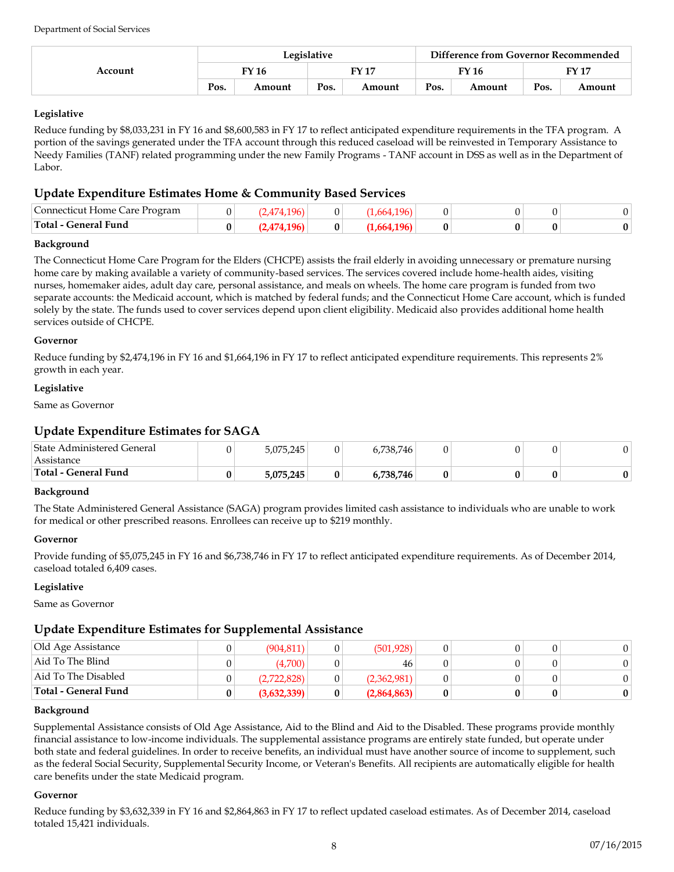| Account | Legislative |        |       |        |       | Difference from Governor Recommended |       |        |  |
|---------|-------------|--------|-------|--------|-------|--------------------------------------|-------|--------|--|
|         | FY 16       |        | FY 17 |        | FY 16 |                                      | FY 17 |        |  |
|         | Pos.        | Amount | Pos.  | Amount | Pos.  | Amount                               | Pos.  | Amount |  |

Reduce funding by \$8,033,231 in FY 16 and \$8,600,583 in FY 17 to reflect anticipated expenditure requirements in the TFA program. A portion of the savings generated under the TFA account through this reduced caseload will be reinvested in Temporary Assistance to Needy Families (TANF) related programming under the new Family Programs - TANF account in DSS as well as in the Department of Labor.

# **Update Expenditure Estimates Home & Community Based Services**

| Connecticut Home Care Program |   |  |  |  |  |
|-------------------------------|---|--|--|--|--|
| Total - \<br>General Fund     | v |  |  |  |  |

## **Background**

The Connecticut Home Care Program for the Elders (CHCPE) assists the frail elderly in avoiding unnecessary or premature nursing home care by making available a variety of community-based services. The services covered include home-health aides, visiting nurses, homemaker aides, adult day care, personal assistance, and meals on wheels. The home care program is funded from two separate accounts: the Medicaid account, which is matched by federal funds; and the Connecticut Home Care account, which is funded solely by the state. The funds used to cover services depend upon client eligibility. Medicaid also provides additional home health services outside of CHCPE.

### **Governor**

Reduce funding by \$2,474,196 in FY 16 and \$1,664,196 in FY 17 to reflect anticipated expenditure requirements. This represents 2% growth in each year.

## **Legislative**

Same as Governor

# **Update Expenditure Estimates for SAGA**

| Total - General Fund       | 5,075,245 | 6,738,746 |  | Λ |
|----------------------------|-----------|-----------|--|---|
| Assistance                 |           |           |  |   |
| State Administered General | 5,075,245 | 6,738,746 |  |   |

### **Background**

The State Administered General Assistance (SAGA) program provides limited cash assistance to individuals who are unable to work for medical or other prescribed reasons. Enrollees can receive up to \$219 monthly.

### **Governor**

Provide funding of \$5,075,245 in FY 16 and \$6,738,746 in FY 17 to reflect anticipated expenditure requirements. As of December 2014, caseload totaled 6,409 cases.

# **Legislative**

Same as Governor

# **Update Expenditure Estimates for Supplemental Assistance**

| Old Age Assistance     | (904.811)   |   | (501, 928)  |  |  |
|------------------------|-------------|---|-------------|--|--|
| 'Aid To The Blind      | (4,700)     |   | 46          |  |  |
| Aid To The Disabled    | (2.722.828) |   | (2,362,981) |  |  |
| ' Total - General Fund | (3,632,339) | 0 | (2,864,863) |  |  |

### **Background**

Supplemental Assistance consists of Old Age Assistance, Aid to the Blind and Aid to the Disabled. These programs provide monthly financial assistance to low-income individuals. The supplemental assistance programs are entirely state funded, but operate under both state and federal guidelines. In order to receive benefits, an individual must have another source of income to supplement, such as the federal Social Security, Supplemental Security Income, or Veteran's Benefits. All recipients are automatically eligible for health care benefits under the state Medicaid program.

### **Governor**

Reduce funding by \$3,632,339 in FY 16 and \$2,864,863 in FY 17 to reflect updated caseload estimates. As of December 2014, caseload totaled 15,421 individuals.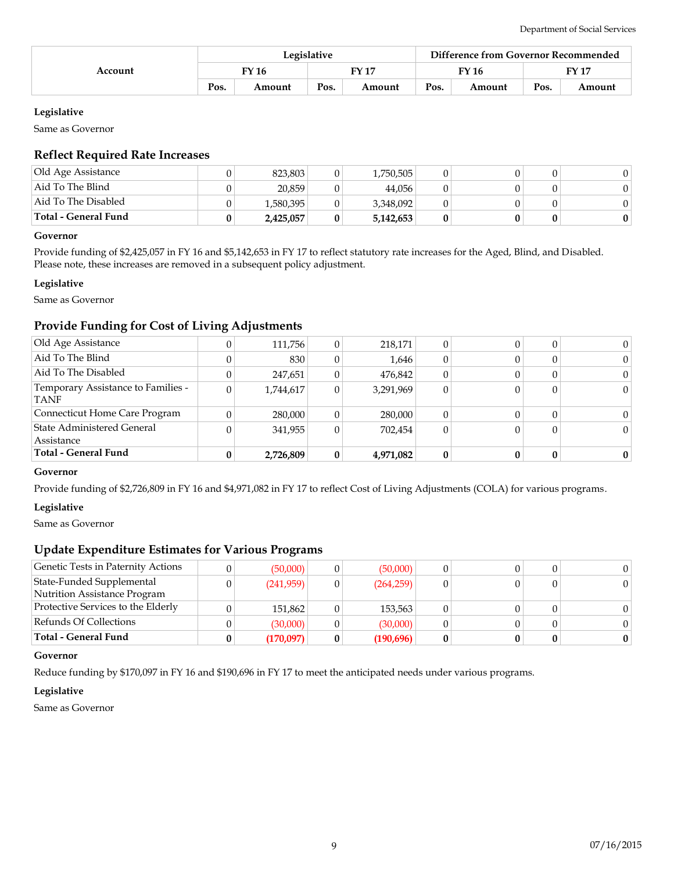| Account | Legislative |        |      |        | Difference from Governor Recommended |        |       |        |
|---------|-------------|--------|------|--------|--------------------------------------|--------|-------|--------|
|         |             | FY 16  |      | EV17   | <b>FY 16</b>                         |        | FY 17 |        |
|         | Pos.        | Amount | Pos. | Amount | Pos.                                 | Amount | Pos.  | Amount |

Same as Governor

# **Reflect Required Rate Increases**

| Total - General Fund | 2,425,057 | 5,142,653 |  |  |
|----------------------|-----------|-----------|--|--|
| Aid To The Disabled  | 1,580,395 | 3,348,092 |  |  |
| Aid To The Blind     | 20.859    | 44.056    |  |  |
| Old Age Assistance   | 823.803   | 1,750,505 |  |  |

### **Governor**

Provide funding of \$2,425,057 in FY 16 and \$5,142,653 in FY 17 to reflect statutory rate increases for the Aged, Blind, and Disabled. Please note, these increases are removed in a subsequent policy adjustment.

#### **Legislative**

Same as Governor

# **Provide Funding for Cost of Living Adjustments**

| 280,000<br>341,955 | 0       | 280,000<br>702.454 |  | 0<br>$\Omega$ |
|--------------------|---------|--------------------|--|---------------|
|                    |         |                    |  |               |
|                    |         |                    |  |               |
| 1,744,617          | 0       | 3,291,969          |  | $\Omega$      |
| 247,651            |         | 476,842            |  | $\Omega$      |
| 830                |         | 1,646              |  | 0             |
|                    | 0       | 218,171            |  |               |
|                    | 111,756 |                    |  |               |

# **Governor**

Provide funding of \$2,726,809 in FY 16 and \$4,971,082 in FY 17 to reflect Cost of Living Adjustments (COLA) for various programs.

#### **Legislative**

Same as Governor

# **Update Expenditure Estimates for Various Programs**

| Genetic Tests in Paternity Actions | (50,000)  |   | (50,000)   |  |   |  |
|------------------------------------|-----------|---|------------|--|---|--|
| State-Funded Supplemental          | (241,959) | 0 | (264, 259) |  | 0 |  |
| Nutrition Assistance Program       |           |   |            |  |   |  |
| Protective Services to the Elderly | 151,862   |   | 153.563    |  |   |  |
| Refunds Of Collections             | (30,000)  |   | (30,000)   |  |   |  |
| Total - General Fund               | (170,097) |   | (190,696)  |  |   |  |

#### **Governor**

Reduce funding by \$170,097 in FY 16 and \$190,696 in FY 17 to meet the anticipated needs under various programs.

#### **Legislative**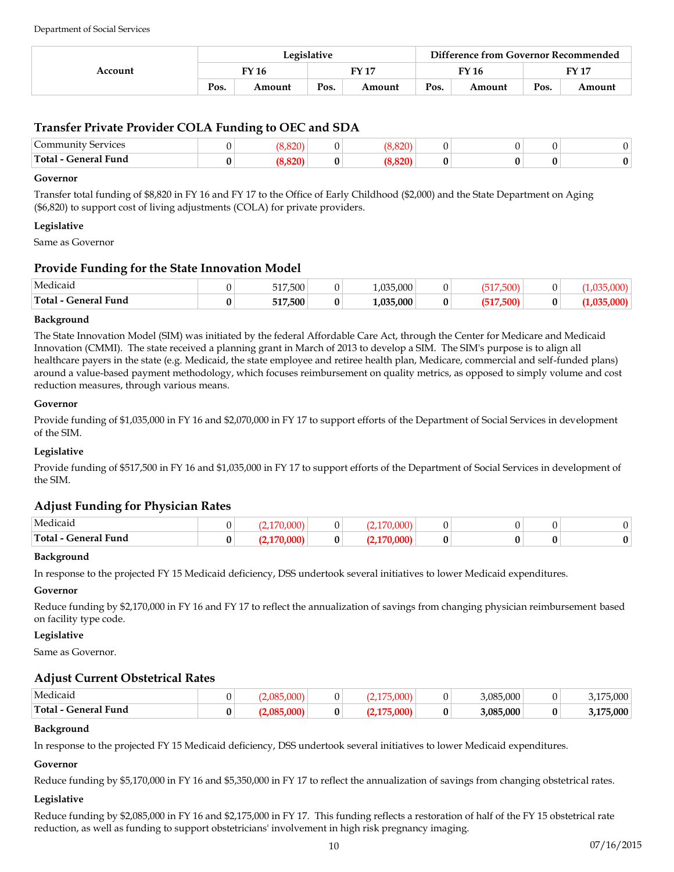| Account | Legislative  |        |      |        | Difference from Governor Recommended |        |      |              |
|---------|--------------|--------|------|--------|--------------------------------------|--------|------|--------------|
|         | <b>FY 16</b> |        |      | FV 17  |                                      | FY 16  |      | <b>FY 17</b> |
|         | Pos.         | Amount | Pos. | Amount | Pos.                                 | Amount | Pos. | Amount       |

# **Transfer Private Provider COLA Funding to OEC and SDA**

| ∽<br>Services<br>Community                                                                                                                                                                                                                                                                                                                                                                                                                                                                                         | nnn |  |  |  |
|--------------------------------------------------------------------------------------------------------------------------------------------------------------------------------------------------------------------------------------------------------------------------------------------------------------------------------------------------------------------------------------------------------------------------------------------------------------------------------------------------------------------|-----|--|--|--|
| Total-<br>- General Fund<br>$\begin{array}{cccccccccccccc} \multicolumn{4}{c}{} & \multicolumn{4}{c}{} & \multicolumn{4}{c}{} & \multicolumn{4}{c}{} & \multicolumn{4}{c}{} & \multicolumn{4}{c}{} & \multicolumn{4}{c}{} & \multicolumn{4}{c}{} & \multicolumn{4}{c}{} & \multicolumn{4}{c}{} & \multicolumn{4}{c}{} & \multicolumn{4}{c}{} & \multicolumn{4}{c}{} & \multicolumn{4}{c}{} & \multicolumn{4}{c}{} & \multicolumn{4}{c}{} & \multicolumn{4}{c}{} & \multicolumn{4}{c}{} & \multicolumn{4}{c}{} & \$ |     |  |  |  |

#### **Governor**

Transfer total funding of \$8,820 in FY 16 and FY 17 to the Office of Early Childhood (\$2,000) and the State Department on Aging (\$6,820) to support cost of living adjustments (COLA) for private providers.

### **Legislative**

Same as Governor

## **Provide Funding for the State Innovation Model**

| Medicaid                  | 517500<br>⊸∪∪<br>◡⊥≀ |   | $\Omega$<br>$\Omega$<br>\J\J\J.CC |  |  |
|---------------------------|----------------------|---|-----------------------------------|--|--|
| Total-<br>General<br>Fund | 517,500              | v | .000<br>. 025                     |  |  |

#### **Background**

The State Innovation Model (SIM) was initiated by the federal Affordable Care Act, through the Center for Medicare and Medicaid Innovation (CMMI). The state received a planning grant in March of 2013 to develop a SIM. The SIM's purpose is to align all healthcare payers in the state (e.g. Medicaid, the state employee and retiree health plan, Medicare, commercial and self-funded plans) around a value-based payment methodology, which focuses reimbursement on quality metrics, as opposed to simply volume and cost reduction measures, through various means.

#### **Governor**

Provide funding of \$1,035,000 in FY 16 and \$2,070,000 in FY 17 to support efforts of the Department of Social Services in development of the SIM.

### **Legislative**

Provide funding of \$517,500 in FY 16 and \$1,035,000 in FY 17 to support efforts of the Department of Social Services in development of the SIM.

# **Adjust Funding for Physician Rates**

| Medicaic                                                                                                                                                                                                                                                                                                                                                                                                                                                                                                                        |   |   |   |  |   |  |
|---------------------------------------------------------------------------------------------------------------------------------------------------------------------------------------------------------------------------------------------------------------------------------------------------------------------------------------------------------------------------------------------------------------------------------------------------------------------------------------------------------------------------------|---|---|---|--|---|--|
| $\mathbf{Fund}$<br>Total -<br>-eneral<br>$\begin{array}{cccccccccccccc} \multicolumn{4}{c}{} & \multicolumn{4}{c}{} & \multicolumn{4}{c}{} & \multicolumn{4}{c}{} & \multicolumn{4}{c}{} & \multicolumn{4}{c}{} & \multicolumn{4}{c}{} & \multicolumn{4}{c}{} & \multicolumn{4}{c}{} & \multicolumn{4}{c}{} & \multicolumn{4}{c}{} & \multicolumn{4}{c}{} & \multicolumn{4}{c}{} & \multicolumn{4}{c}{} & \multicolumn{4}{c}{} & \multicolumn{4}{c}{} & \multicolumn{4}{c}{} & \multicolumn{4}{c}{} & \multicolumn{4}{c}{} & \$ | v | 0 | . |  | v |  |

#### **Background**

In response to the projected FY 15 Medicaid deficiency, DSS undertook several initiatives to lower Medicaid expenditures.

### **Governor**

Reduce funding by \$2,170,000 in FY 16 and FY 17 to reflect the annualization of savings from changing physician reimbursement based on facility type code.

### **Legislative**

Same as Governor.

# **Adjust Current Obstetrical Rates**

| Medicaic                    |        |  |  | .08F<br>5.000 | ,000      |
|-----------------------------|--------|--|--|---------------|-----------|
| Total-<br>l -eneral<br>Fund | ◠<br>ν |  |  | 3.085.000     | 3.175.000 |

#### **Background**

In response to the projected FY 15 Medicaid deficiency, DSS undertook several initiatives to lower Medicaid expenditures.

#### **Governor**

Reduce funding by \$5,170,000 in FY 16 and \$5,350,000 in FY 17 to reflect the annualization of savings from changing obstetrical rates.

#### **Legislative**

Reduce funding by \$2,085,000 in FY 16 and \$2,175,000 in FY 17. This funding reflects a restoration of half of the FY 15 obstetrical rate reduction, as well as funding to support obstetricians' involvement in high risk pregnancy imaging.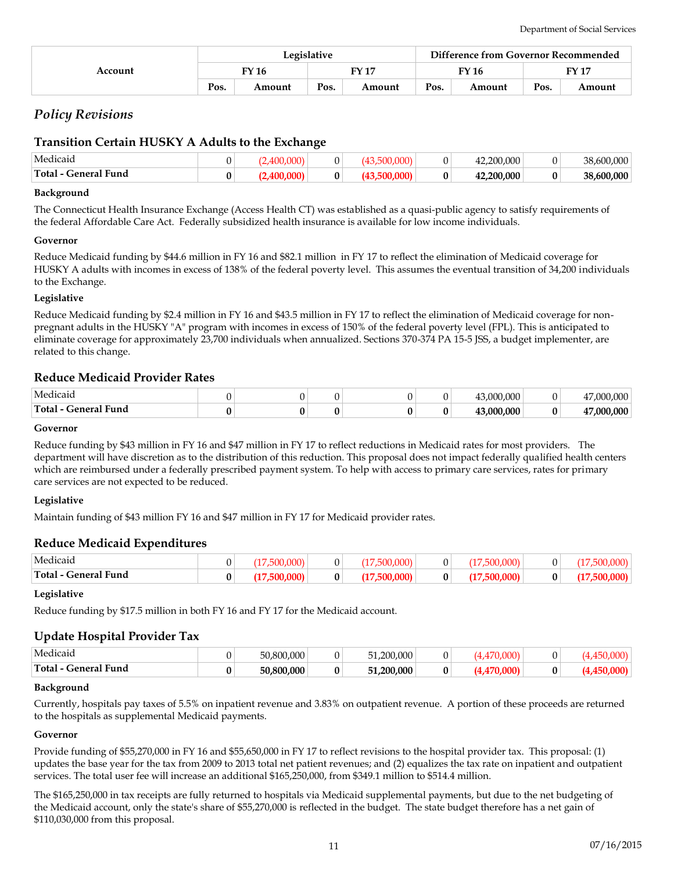| Account | Legislative |        |       |        | Difference from Governor Recommended |        |       |        |
|---------|-------------|--------|-------|--------|--------------------------------------|--------|-------|--------|
|         | FY 16       |        | FN 17 |        | FY 16                                |        | FV 17 |        |
|         | Pos.        | Amount | Pos.  | Amount | Pos.                                 | Amount | Pos.  | Amount |

# *Policy Revisions*

# **Transition Certain HUSKY A Adults to the Exchange**

| General Fund<br>Total | 0             |  |  | .200.000       | v | 38,600,000                 |
|-----------------------|---------------|--|--|----------------|---|----------------------------|
| Medicaio              | $\Omega$<br>U |  |  | .000<br>$\sim$ |   | .600.000<br>$\overline{O}$ |

#### **Background**

The Connecticut Health Insurance Exchange (Access Health CT) was established as a quasi-public agency to satisfy requirements of the federal Affordable Care Act. Federally subsidized health insurance is available for low income individuals.

#### **Governor**

Reduce Medicaid funding by \$44.6 million in FY 16 and \$82.1 million in FY 17 to reflect the elimination of Medicaid coverage for HUSKY A adults with incomes in excess of 138% of the federal poverty level. This assumes the eventual transition of 34,200 individuals to the Exchange.

#### **Legislative**

Reduce Medicaid funding by \$2.4 million in FY 16 and \$43.5 million in FY 17 to reflect the elimination of Medicaid coverage for nonpregnant adults in the HUSKY "A" program with incomes in excess of 150% of the federal poverty level (FPL). This is anticipated to eliminate coverage for approximately 23,700 individuals when annualized. Sections 370-374 PA 15-5 JSS, a budget implementer, are related to this change.

## **Reduce Medicaid Provider Rates**

| Medicaio                     |  |  | .000<br>.00c |   | . nne<br>ററ     |
|------------------------------|--|--|--------------|---|-----------------|
| Total -<br>seneral i<br>Fund |  |  | . NUU UUU    | Œ | $/$ 000 000 $/$ |

#### **Governor**

Reduce funding by \$43 million in FY 16 and \$47 million in FY 17 to reflect reductions in Medicaid rates for most providers. The department will have discretion as to the distribution of this reduction. This proposal does not impact federally qualified health centers which are reimbursed under a federally prescribed payment system. To help with access to primary care services, rates for primary care services are not expected to be reduced.

### **Legislative**

Maintain funding of \$43 million FY 16 and \$47 million in FY 17 for Medicaid provider rates.

### **Reduce Medicaid Expenditures**

| $\mathbf{u}$<br>Medicaio    | $\sqrt{2}$<br>., |  |   |  |  |
|-----------------------------|------------------|--|---|--|--|
| ' Funa<br>Total-<br>Feneral | 0                |  | Λ |  |  |

#### **Legislative**

Reduce funding by \$17.5 million in both FY 16 and FY 17 for the Medicaid account.

# **Update Hospital Provider Tax**

| Medicaid                   |   | 00.000<br>50.800 | <b>U</b> | ).000<br>റററ<br>51 |  |   |  |
|----------------------------|---|------------------|----------|--------------------|--|---|--|
| ` Funa<br>Total<br>-eneral | ν | 50.800.000       | 0        | .200.000<br>51.2   |  | 0 |  |

#### **Background**

Currently, hospitals pay taxes of 5.5% on inpatient revenue and 3.83% on outpatient revenue. A portion of these proceeds are returned to the hospitals as supplemental Medicaid payments.

#### **Governor**

Provide funding of \$55,270,000 in FY 16 and \$55,650,000 in FY 17 to reflect revisions to the hospital provider tax. This proposal: (1) updates the base year for the tax from 2009 to 2013 total net patient revenues; and (2) equalizes the tax rate on inpatient and outpatient services. The total user fee will increase an additional \$165,250,000, from \$349.1 million to \$514.4 million.

The \$165,250,000 in tax receipts are fully returned to hospitals via Medicaid supplemental payments, but due to the net budgeting of the Medicaid account, only the state's share of \$55,270,000 is reflected in the budget. The state budget therefore has a net gain of \$110,030,000 from this proposal.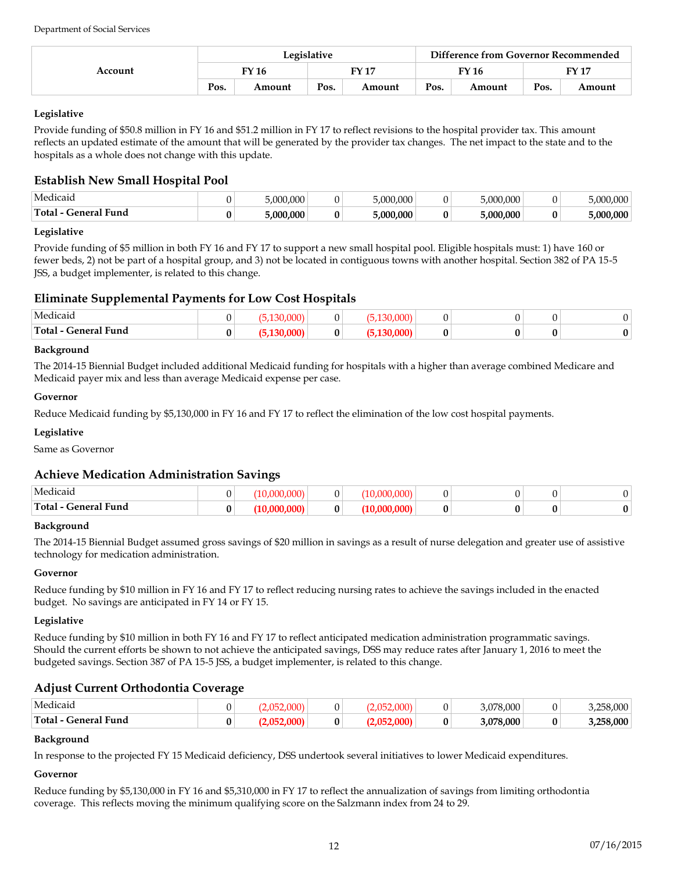| Account | Legislative |        |       |        |       | Difference from Governor Recommended |       |        |  |
|---------|-------------|--------|-------|--------|-------|--------------------------------------|-------|--------|--|
|         | FY 16       |        | FY 17 |        | FY 16 |                                      | FY 17 |        |  |
|         | Pos.        | Amount | Pos.  | Amount | Pos.  | Amount                               | Pos.  | Amount |  |

Provide funding of \$50.8 million in FY 16 and \$51.2 million in FY 17 to reflect revisions to the hospital provider tax. This amount reflects an updated estimate of the amount that will be generated by the provider tax changes. The net impact to the state and to the hospitals as a whole does not change with this update.

# **Establish New Small Hospital Pool**

| Medicaio                 |       | 0.000<br>$\Omega$     |     | $\Omega$<br>ിവ<br>',UUU | $\sim$ $\sim$ $\sim$<br>$F \cap \Omega$<br>,uuu | $\alpha$ |
|--------------------------|-------|-----------------------|-----|-------------------------|-------------------------------------------------|----------|
| Total<br>eneralد<br>Fund | Λ<br> | .000<br>∠ ∩∩ <i>r</i> | . . | ,000<br>.: በበቦ          | .000<br>ററ                                      | ሰሰሰ      |

## **Legislative**

Provide funding of \$5 million in both FY 16 and FY 17 to support a new small hospital pool. Eligible hospitals must: 1) have 160 or fewer beds, 2) not be part of a hospital group, and 3) not be located in contiguous towns with another hospital. Section 382 of PA 15-5 JSS, a budget implementer, is related to this change.

# **Eliminate Supplemental Payments for Low Cost Hospitals**

| Medicaid                                      |  |        | n n n |  |  |
|-----------------------------------------------|--|--------|-------|--|--|
| <sup>1</sup> Fund<br>Total-<br>. -enera'<br>. |  | Λ<br>v | ההר   |  |  |

## **Background**

The 2014-15 Biennial Budget included additional Medicaid funding for hospitals with a higher than average combined Medicare and Medicaid payer mix and less than average Medicaid expense per case.

## **Governor**

Reduce Medicaid funding by \$5,130,000 in FY 16 and FY 17 to reflect the elimination of the low cost hospital payments.

# **Legislative**

Same as Governor

# **Achieve Medication Administration Savings**

| $\sim$ $\sim$ $\sim$<br>Medicaid |   |   |  |   |  |
|----------------------------------|---|---|--|---|--|
| <b>General Fund</b><br>Total - C | u | 0 |  | v |  |

### **Background**

The 2014-15 Biennial Budget assumed gross savings of \$20 million in savings as a result of nurse delegation and greater use of assistive technology for medication administration.

# **Governor**

Reduce funding by \$10 million in FY 16 and FY 17 to reflect reducing nursing rates to achieve the savings included in the enacted budget. No savings are anticipated in FY 14 or FY 15.

### **Legislative**

Reduce funding by \$10 million in both FY 16 and FY 17 to reflect anticipated medication administration programmatic savings. Should the current efforts be shown to not achieve the anticipated savings, DSS may reduce rates after January 1, 2016 to meet the budgeted savings. Section 387 of PA 15-5 JSS, a budget implementer, is related to this change.

# **Adjust Current Orthodontia Coverage**

| Medicaio<br>Total-<br><b>General Fund</b> | Λ | $\sim$ |  | Λ | 3.078.000<br>,078,000 | n | 58.000<br>.258.000 |
|-------------------------------------------|---|--------|--|---|-----------------------|---|--------------------|
|                                           | ν |        |  |   |                       |   |                    |

### **Background**

In response to the projected FY 15 Medicaid deficiency, DSS undertook several initiatives to lower Medicaid expenditures.

### **Governor**

Reduce funding by \$5,130,000 in FY 16 and \$5,310,000 in FY 17 to reflect the annualization of savings from limiting orthodontia coverage. This reflects moving the minimum qualifying score on the Salzmann index from 24 to 29.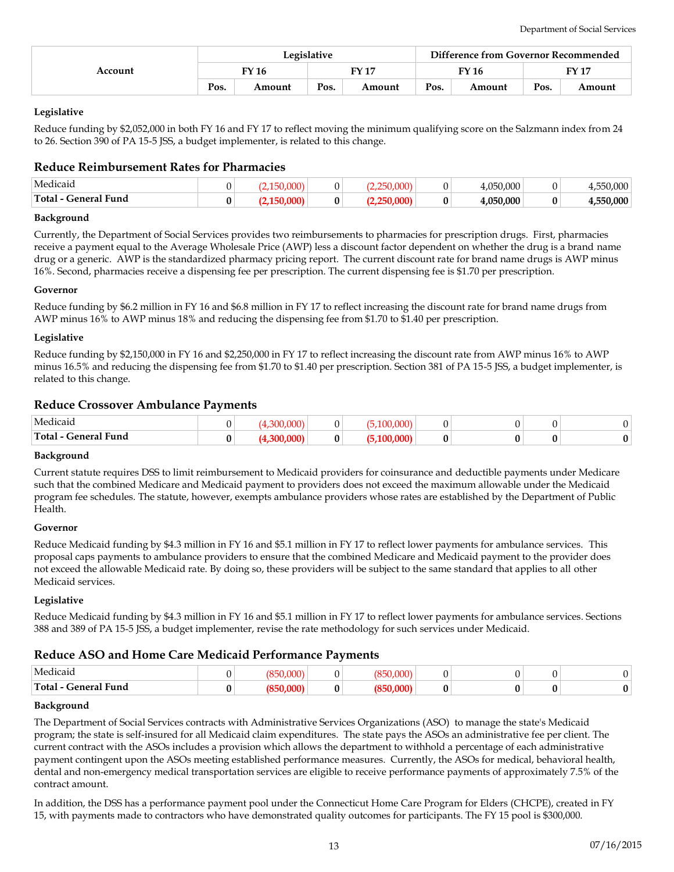| Account | Legislative |        |      |        | Difference from Governor Recommended |        |       |        |
|---------|-------------|--------|------|--------|--------------------------------------|--------|-------|--------|
|         |             | FY 16  |      | FY 17  | FY 16                                |        | FY 17 |        |
|         | Pos.        | Amount | Pos. | Amount | Pos.                                 | Amount | Pos.  | Amount |

Reduce funding by \$2,052,000 in both FY 16 and FY 17 to reflect moving the minimum qualifying score on the Salzmann index from 24 to 26. Section 390 of PA 15-5 JSS, a budget implementer, is related to this change.

# **Reduce Reimbursement Rates for Pharmacies**

| 'Medicaic                                                    |  |   | 0 | $\sim$ $\sim$<br>.000 | .000 |
|--------------------------------------------------------------|--|---|---|-----------------------|------|
| - 7<br>Tota.<br>Fund<br>$ \boldsymbol{m}\boldsymbol{\alpha}$ |  | 0 | 0 | $\mathbf{A}$<br>.000  | .000 |

#### **Background**

Currently, the Department of Social Services provides two reimbursements to pharmacies for prescription drugs. First, pharmacies receive a payment equal to the Average Wholesale Price (AWP) less a discount factor dependent on whether the drug is a brand name drug or a generic. AWP is the standardized pharmacy pricing report. The current discount rate for brand name drugs is AWP minus 16%. Second, pharmacies receive a dispensing fee per prescription. The current dispensing fee is \$1.70 per prescription.

#### **Governor**

Reduce funding by \$6.2 million in FY 16 and \$6.8 million in FY 17 to reflect increasing the discount rate for brand name drugs from AWP minus 16% to AWP minus 18% and reducing the dispensing fee from \$1.70 to \$1.40 per prescription.

#### **Legislative**

Reduce funding by \$2,150,000 in FY 16 and \$2,250,000 in FY 17 to reflect increasing the discount rate from AWP minus 16% to AWP minus 16.5% and reducing the dispensing fee from \$1.70 to \$1.40 per prescription. Section 381 of PA 15-5 JSS, a budget implementer, is related to this change.

### **Reduce Crossover Ambulance Payments**

| 'Medicaio                                   | $\sim$ $\sim$ |   |  |   |  |
|---------------------------------------------|---------------|---|--|---|--|
| ral Fund<br>Total <sup>-</sup><br>l -eneral |               | 0 |  | Λ |  |

#### **Background**

Current statute requires DSS to limit reimbursement to Medicaid providers for coinsurance and deductible payments under Medicare such that the combined Medicare and Medicaid payment to providers does not exceed the maximum allowable under the Medicaid program fee schedules. The statute, however, exempts ambulance providers whose rates are established by the Department of Public Health.

#### **Governor**

Reduce Medicaid funding by \$4.3 million in FY 16 and \$5.1 million in FY 17 to reflect lower payments for ambulance services. This proposal caps payments to ambulance providers to ensure that the combined Medicare and Medicaid payment to the provider does not exceed the allowable Medicaid rate. By doing so, these providers will be subject to the same standard that applies to all other Medicaid services.

### **Legislative**

Reduce Medicaid funding by \$4.3 million in FY 16 and \$5.1 million in FY 17 to reflect lower payments for ambulance services. Sections 388 and 389 of PA 15-5 JSS, a budget implementer, revise the rate methodology for such services under Medicaid.

### **Reduce ASO and Home Care Medicaid Performance Payments**

| Medicaio                               |  |  |  |  |
|----------------------------------------|--|--|--|--|
| <sup>1</sup> - General Fund<br>Total - |  |  |  |  |

#### **Background**

The Department of Social Services contracts with Administrative Services Organizations (ASO) to manage the state's Medicaid program; the state is self-insured for all Medicaid claim expenditures. The state pays the ASOs an administrative fee per client. The current contract with the ASOs includes a provision which allows the department to withhold a percentage of each administrative payment contingent upon the ASOs meeting established performance measures. Currently, the ASOs for medical, behavioral health, dental and non-emergency medical transportation services are eligible to receive performance payments of approximately 7.5% of the contract amount.

In addition, the DSS has a performance payment pool under the Connecticut Home Care Program for Elders (CHCPE), created in FY 15, with payments made to contractors who have demonstrated quality outcomes for participants. The FY 15 pool is \$300,000.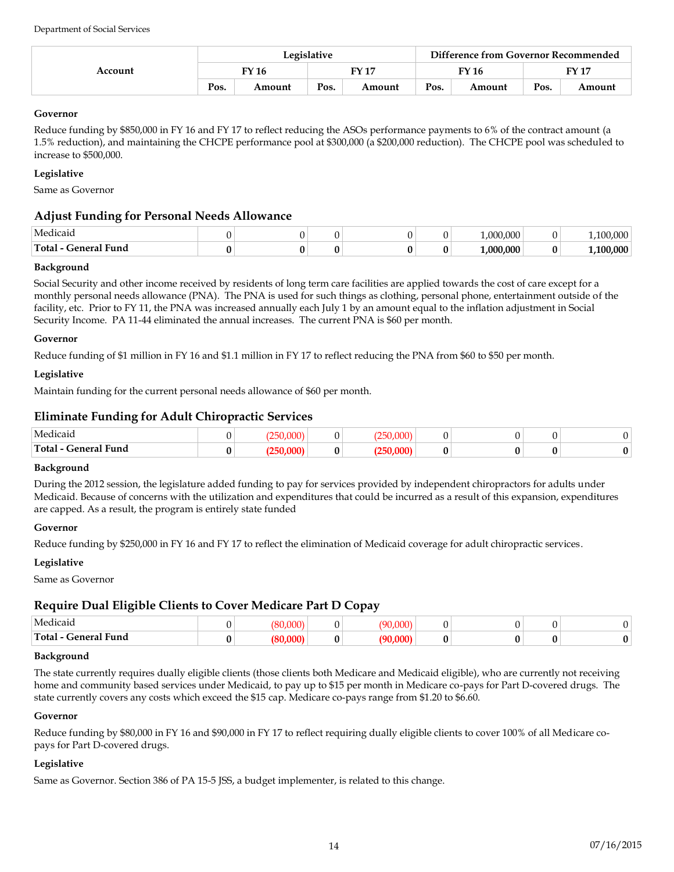| Account | Legislative |        |       |        |       | Difference from Governor Recommended |       |        |  |
|---------|-------------|--------|-------|--------|-------|--------------------------------------|-------|--------|--|
|         | FY 16       |        | EV 17 |        | FY 16 |                                      | FY 17 |        |  |
|         | Pos.        | Amount | Pos.  | Amount | Pos.  | Amount                               | Pos.  | Amount |  |

# **Governor**

Reduce funding by \$850,000 in FY 16 and FY 17 to reflect reducing the ASOs performance payments to 6% of the contract amount (a 1.5% reduction), and maintaining the CHCPE performance pool at \$300,000 (a \$200,000 reduction). The CHCPE pool was scheduled to increase to \$500,000.

# **Legislative**

Same as Governor

# **Adjust Funding for Personal Needs Allowance**

| Medicaic                     |  |  | ,000<br>റററ |     |
|------------------------------|--|--|-------------|-----|
| Total<br>. .<br>General Fund |  |  | .000.000    | በበበ |

### **Background**

Social Security and other income received by residents of long term care facilities are applied towards the cost of care except for a monthly personal needs allowance (PNA). The PNA is used for such things as clothing, personal phone, entertainment outside of the facility, etc. Prior to FY 11, the PNA was increased annually each July 1 by an amount equal to the inflation adjustment in Social Security Income. PA 11-44 eliminated the annual increases. The current PNA is \$60 per month.

### **Governor**

Reduce funding of \$1 million in FY 16 and \$1.1 million in FY 17 to reflect reducing the PNA from \$60 to \$50 per month.

## **Legislative**

Maintain funding for the current personal needs allowance of \$60 per month.

# **Eliminate Funding for Adult Chiropractic Services**

| $\cdots$<br>Medicaid           |  |  |  |                |
|--------------------------------|--|--|--|----------------|
| Total -<br>- General Fund<br>. |  |  |  | 0 <sup>1</sup> |

### **Background**

During the 2012 session, the legislature added funding to pay for services provided by independent chiropractors for adults under Medicaid. Because of concerns with the utilization and expenditures that could be incurred as a result of this expansion, expenditures are capped. As a result, the program is entirely state funded

### **Governor**

Reduce funding by \$250,000 in FY 16 and FY 17 to reflect the elimination of Medicaid coverage for adult chiropractic services.

### **Legislative**

Same as Governor

# **Require Dual Eligible Clients to Cover Medicare Part D Copay**

| . .<br>Medicaio          |  |  |  |  |
|--------------------------|--|--|--|--|
| General Fund<br>'Total - |  |  |  |  |

### **Background**

The state currently requires dually eligible clients (those clients both Medicare and Medicaid eligible), who are currently not receiving home and community based services under Medicaid, to pay up to \$15 per month in Medicare co-pays for Part D-covered drugs. The state currently covers any costs which exceed the \$15 cap. Medicare co-pays range from \$1.20 to \$6.60.

### **Governor**

Reduce funding by \$80,000 in FY 16 and \$90,000 in FY 17 to reflect requiring dually eligible clients to cover 100% of all Medicare copays for Part D-covered drugs.

### **Legislative**

Same as Governor. Section 386 of PA 15-5 JSS, a budget implementer, is related to this change.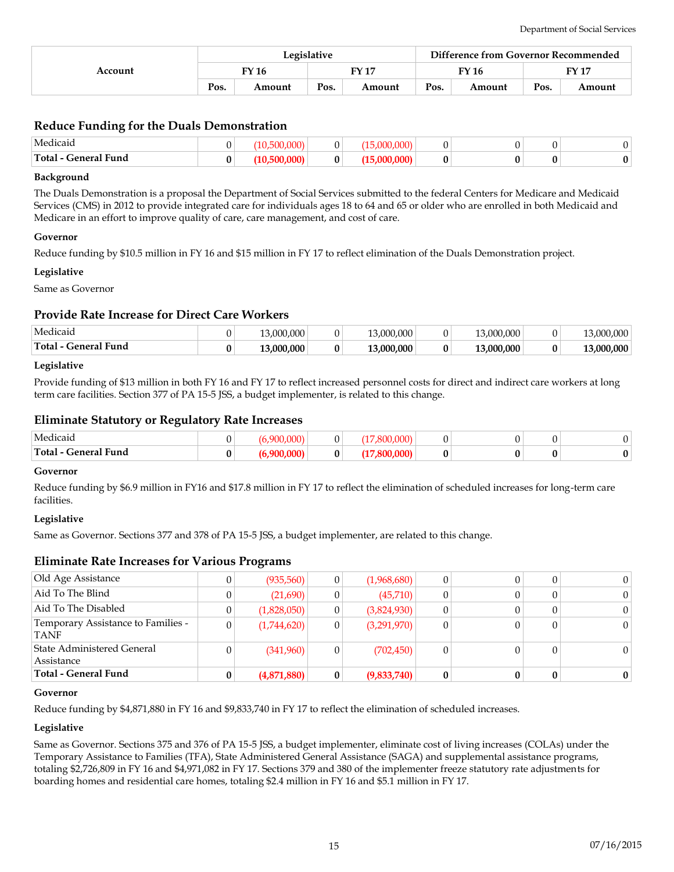| Account | Legislative |        |                |        | Difference from Governor Recommended |        |      |        |
|---------|-------------|--------|----------------|--------|--------------------------------------|--------|------|--------|
|         |             | TY 16  | EV 17<br>FY 16 |        |                                      | FV 17  |      |        |
|         | Pos.        | Amount | Pos.           | Amount | Pos.                                 | Amount | Pos. | Amount |

# **Reduce Funding for the Duals Demonstration**

| Medicaio                                                                                                                                                                                                                                                                                                                                                                                                                                                                                                              |   |   |  |  |  |
|-----------------------------------------------------------------------------------------------------------------------------------------------------------------------------------------------------------------------------------------------------------------------------------------------------------------------------------------------------------------------------------------------------------------------------------------------------------------------------------------------------------------------|---|---|--|--|--|
| ' Fund<br>Total -<br>-enera<br>$\begin{array}{cccccccccccccc} \multicolumn{4}{c}{} & \multicolumn{4}{c}{} & \multicolumn{4}{c}{} & \multicolumn{4}{c}{} & \multicolumn{4}{c}{} & \multicolumn{4}{c}{} & \multicolumn{4}{c}{} & \multicolumn{4}{c}{} & \multicolumn{4}{c}{} & \multicolumn{4}{c}{} & \multicolumn{4}{c}{} & \multicolumn{4}{c}{} & \multicolumn{4}{c}{} & \multicolumn{4}{c}{} & \multicolumn{4}{c}{} & \multicolumn{4}{c}{} & \multicolumn{4}{c}{} & \multicolumn{4}{c}{} & \multicolumn{4}{c}{} & \$ | v | 0 |  |  |  |

#### **Background**

The Duals Demonstration is a proposal the Department of Social Services submitted to the federal Centers for Medicare and Medicaid Services (CMS) in 2012 to provide integrated care for individuals ages 18 to 64 and 65 or older who are enrolled in both Medicaid and Medicare in an effort to improve quality of care, care management, and cost of care.

#### **Governor**

Reduce funding by \$10.5 million in FY 16 and \$15 million in FY 17 to reflect elimination of the Duals Demonstration project.

#### **Legislative**

Same as Governor

## **Provide Rate Increase for Direct Care Workers**

| Medicaic                 |   | 3.000.000  |   | 0.000<br>$\Omega$<br>ຳ |   | 0.000<br>3.00C | 0.00000<br>,,,,,,<br>7.UUU |
|--------------------------|---|------------|---|------------------------|---|----------------|----------------------------|
| Total<br>Fund<br>-eneral | υ | 13.000.000 | 0 | 3.000.000<br>10        | ◠ | 13.000.000     | ,000<br>0.00c              |

#### **Legislative**

Provide funding of \$13 million in both FY 16 and FY 17 to reflect increased personnel costs for direct and indirect care workers at long term care facilities. Section 377 of PA 15-5 JSS, a budget implementer, is related to this change.

## **Eliminate Statutory or Regulatory Rate Increases**

| $\mathbf{u}$<br>Medicaid<br>. | $\alpha$ $\alpha$ |   | $\sim$ $\sim$ |  |   |  |
|-------------------------------|-------------------|---|---------------|--|---|--|
| Total-<br>. -eneral<br>Fund   |                   | 0 | .             |  | v |  |

#### **Governor**

Reduce funding by \$6.9 million in FY16 and \$17.8 million in FY 17 to reflect the elimination of scheduled increases for long-term care facilities.

### **Legislative**

Same as Governor. Sections 377 and 378 of PA 15-5 JSS, a budget implementer, are related to this change.

### **Eliminate Rate Increases for Various Programs**

| Assistance<br><b>Total - General Fund</b>  | 0 | (4,871,880) | 0              | (9,833,740) |  | 0        |    |
|--------------------------------------------|---|-------------|----------------|-------------|--|----------|----|
| State Administered General                 |   | (341,960)   | $\overline{0}$ | (702, 450)  |  | 0        |    |
| Temporary Assistance to Families -<br>TANF | 0 | (1,744,620) | 0              | (3,291,970) |  | $\Omega$ | 0. |
| Aid To The Disabled                        |   | (1,828,050) | 0              | (3,824,930) |  | $\Omega$ |    |
| Aid To The Blind                           |   | (21,690)    | 0              | (45,710)    |  | $\Omega$ |    |
| Old Age Assistance                         |   | (935,560)   | 0              | (1,968,680) |  | 0        |    |

### **Governor**

Reduce funding by \$4,871,880 in FY 16 and \$9,833,740 in FY 17 to reflect the elimination of scheduled increases.

### **Legislative**

Same as Governor. Sections 375 and 376 of PA 15-5 JSS, a budget implementer, eliminate cost of living increases (COLAs) under the Temporary Assistance to Families (TFA), State Administered General Assistance (SAGA) and supplemental assistance programs, totaling \$2,726,809 in FY 16 and \$4,971,082 in FY 17. Sections 379 and 380 of the implementer freeze statutory rate adjustments for boarding homes and residential care homes, totaling \$2.4 million in FY 16 and \$5.1 million in FY 17.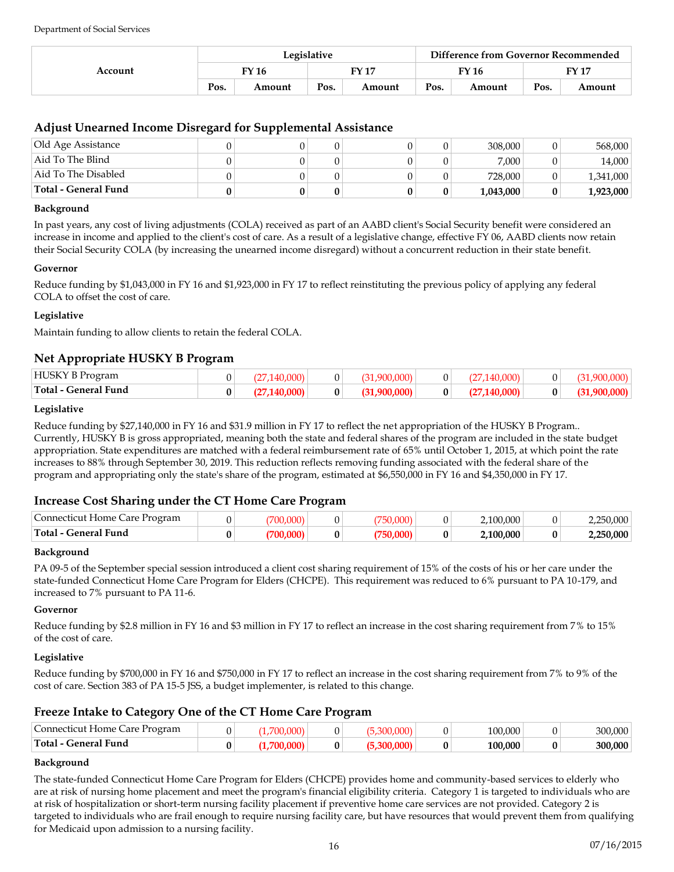| Account | Legislative |              |                |        |      | Difference from Governor Recommended |      |        |  |
|---------|-------------|--------------|----------------|--------|------|--------------------------------------|------|--------|--|
|         |             | <b>FY 16</b> | FV 17<br>FY 16 |        |      | FY 17                                |      |        |  |
|         | Pos.        | Amount       | Pos.           | Amount | Pos. | Amount                               | Pos. | Amount |  |

# **Adjust Unearned Income Disregard for Supplemental Assistance**

| Old Age Assistance   |  |  | 308,000   |   | 568,000   |
|----------------------|--|--|-----------|---|-----------|
| Aid To The Blind     |  |  | 7.000     |   | 14,000    |
| Aid To The Disabled  |  |  | 728,000   |   | 1,341,000 |
| Total - General Fund |  |  | 1,043,000 | 0 | 1,923,000 |

#### **Background**

In past years, any cost of living adjustments (COLA) received as part of an AABD client's Social Security benefit were considered an increase in income and applied to the client's cost of care. As a result of a legislative change, effective FY 06, AABD clients now retain their Social Security COLA (by increasing the unearned income disregard) without a concurrent reduction in their state benefit.

#### **Governor**

Reduce funding by \$1,043,000 in FY 16 and \$1,923,000 in FY 17 to reflect reinstituting the previous policy of applying any federal COLA to offset the cost of care.

### **Legislative**

Maintain funding to allow clients to retain the federal COLA.

## **Net Appropriate HUSKY B Program**

| HUSKY<br><sup>1</sup> rogram |   |  |  |  |  |
|------------------------------|---|--|--|--|--|
| Total - General Fund         | 0 |  |  |  |  |

#### **Legislative**

Reduce funding by \$27,140,000 in FY 16 and \$31.9 million in FY 17 to reflect the net appropriation of the HUSKY B Program.. Currently, HUSKY B is gross appropriated, meaning both the state and federal shares of the program are included in the state budget appropriation. State expenditures are matched with a federal reimbursement rate of 65% until October 1, 2015, at which point the rate increases to 88% through September 30, 2019. This reduction reflects removing funding associated with the federal share of the program and appropriating only the state's share of the program, estimated at \$6,550,000 in FY 16 and \$4,350,000 in FY 17.

# **Increase Cost Sharing under the CT Home Care Program**

| Connecticut Home Care Program |  |   |   | 100.000   |   | 000.( |
|-------------------------------|--|---|---|-----------|---|-------|
| Total - General Fund          |  | 0 | 0 | 2.100.000 | 0 | 0.000 |

### **Background**

PA 09-5 of the September special session introduced a client cost sharing requirement of 15% of the costs of his or her care under the state-funded Connecticut Home Care Program for Elders (CHCPE). This requirement was reduced to 6% pursuant to PA 10-179, and increased to 7% pursuant to PA 11-6.

#### **Governor**

Reduce funding by \$2.8 million in FY 16 and \$3 million in FY 17 to reflect an increase in the cost sharing requirement from 7% to 15% of the cost of care.

### **Legislative**

Reduce funding by \$700,000 in FY 16 and \$750,000 in FY 17 to reflect an increase in the cost sharing requirement from 7% to 9% of the cost of care. Section 383 of PA 15-5 JSS, a budget implementer, is related to this change.

# **Freeze Intake to Category One of the CT Home Care Program**

| Connecticut Home Care Program |  |  | .000<br>100 | 300.000 |
|-------------------------------|--|--|-------------|---------|
| Total - General Fund          |  |  | .000<br>10ቦ | 300.000 |

### **Background**

The state-funded Connecticut Home Care Program for Elders (CHCPE) provides home and community-based services to elderly who are at risk of nursing home placement and meet the program's financial eligibility criteria. Category 1 is targeted to individuals who are at risk of hospitalization or short-term nursing facility placement if preventive home care services are not provided. Category 2 is targeted to individuals who are frail enough to require nursing facility care, but have resources that would prevent them from qualifying for Medicaid upon admission to a nursing facility.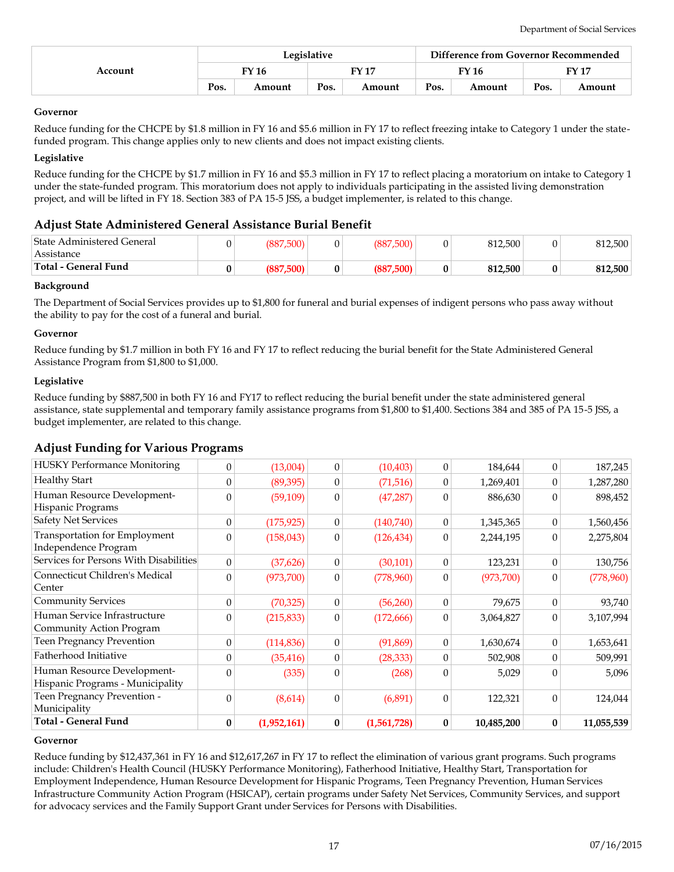| Account | Legislative |        |      |              | Difference from Governor Recommended |        |       |        |
|---------|-------------|--------|------|--------------|--------------------------------------|--------|-------|--------|
|         |             | FY 16  |      | <b>FY 17</b> | <b>FY 16</b>                         |        | FY 17 |        |
|         | Pos.        | Amount | Pos. | Amount       | Pos.                                 | Amount | Pos.  | Amount |

#### **Governor**

Reduce funding for the CHCPE by \$1.8 million in FY 16 and \$5.6 million in FY 17 to reflect freezing intake to Category 1 under the statefunded program. This change applies only to new clients and does not impact existing clients.

#### **Legislative**

Reduce funding for the CHCPE by \$1.7 million in FY 16 and \$5.3 million in FY 17 to reflect placing a moratorium on intake to Category 1 under the state-funded program. This moratorium does not apply to individuals participating in the assisted living demonstration project, and will be lifted in FY 18. Section 383 of PA 15-5 JSS, a budget implementer, is related to this change.

## **Adjust State Administered General Assistance Burial Benefit**

| State Administered General <br>Assistance | (887,500) | (887,500) | 812,500 | 812.500 |
|-------------------------------------------|-----------|-----------|---------|---------|
| Total - General Fund                      | (887,500) | (887.500) | 812.500 | 812,500 |

#### **Background**

The Department of Social Services provides up to \$1,800 for funeral and burial expenses of indigent persons who pass away without the ability to pay for the cost of a funeral and burial.

#### **Governor**

Reduce funding by \$1.7 million in both FY 16 and FY 17 to reflect reducing the burial benefit for the State Administered General Assistance Program from \$1,800 to \$1,000.

#### **Legislative**

Reduce funding by \$887,500 in both FY 16 and FY17 to reflect reducing the burial benefit under the state administered general assistance, state supplemental and temporary family assistance programs from \$1,800 to \$1,400. Sections 384 and 385 of PA 15-5 JSS, a budget implementer, are related to this change.

# **Adjust Funding for Various Programs**

| Total - General Fund                   | $\bf{0}$       | (1,952,161) | 0                | (1,561,728) | $\bf{0}$       | 10,485,200 | $\bf{0}$       | 11,055,539 |
|----------------------------------------|----------------|-------------|------------------|-------------|----------------|------------|----------------|------------|
| Municipality                           |                |             |                  |             |                |            |                |            |
| Teen Pregnancy Prevention -            | $\overline{0}$ | (8,614)     | $\mathbf{0}$     | (6,891)     | $\Omega$       | 122,321    | $\Omega$       | 124,044    |
| Hispanic Programs - Municipality       |                |             |                  |             |                |            |                |            |
| Human Resource Development-            | $\Omega$       | (335)       | $\overline{0}$   | (268)       | $\theta$       | 5,029      | $\Omega$       | 5,096      |
| Fatherhood Initiative                  | $\Omega$       | (35, 416)   | $\mathbf{0}$     | (28, 333)   | $\Omega$       | 502,908    | $\Omega$       | 509,991    |
| Teen Pregnancy Prevention              | $\overline{0}$ | (114, 836)  | $\overline{0}$   | (91,869)    | 0              | 1,630,674  | $\Omega$       | 1,653,641  |
| Community Action Program               |                |             |                  |             |                |            |                |            |
| Human Service Infrastructure           | $\theta$       | (215, 833)  | $\mathbf{0}$     | (172, 666)  | $\theta$       | 3,064,827  | $\Omega$       | 3,107,994  |
| <b>Community Services</b>              | $\theta$       | (70, 325)   | $\overline{0}$   | (56,260)    | $\mathbf{0}$   | 79,675     | $\theta$       | 93,740     |
| Center                                 |                |             |                  |             |                |            |                |            |
| Connecticut Children's Medical         | $\theta$       | (973,700)   | $\boldsymbol{0}$ | (778,960)   | 0              | (973, 700) | $\theta$       | (778,960)  |
| Services for Persons With Disabilities | $\theta$       | (37,626)    | $\boldsymbol{0}$ | (30, 101)   | 0              | 123,231    | $\Omega$       | 130,756    |
| Independence Program                   |                |             |                  |             |                |            |                |            |
| Transportation for Employment          | $\theta$       | (158, 043)  | $\boldsymbol{0}$ | (126, 434)  | $\Omega$       | 2,244,195  | $\Omega$       | 2,275,804  |
| <b>Safety Net Services</b>             | $\mathbf{0}$   | (175, 925)  | $\boldsymbol{0}$ | (140,740)   | $\overline{0}$ | 1,345,365  | $\overline{0}$ | 1,560,456  |
| Hispanic Programs                      | $\overline{0}$ | (59, 109)   | $\overline{0}$   | (47, 287)   | $\theta$       | 886,630    | $\Omega$       | 898,452    |
| Human Resource Development-            |                |             |                  |             |                |            |                |            |
| <b>Healthy Start</b>                   | $\overline{0}$ | (89, 395)   | $\theta$         | (71, 516)   | 0              | 1,269,401  | $\theta$       | 1,287,280  |
| <b>HUSKY Performance Monitoring</b>    | $\overline{0}$ | (13,004)    | $\overline{0}$   | (10, 403)   | $\theta$       | 184,644    | $\theta$       | 187,245    |

#### **Governor**

Reduce funding by \$12,437,361 in FY 16 and \$12,617,267 in FY 17 to reflect the elimination of various grant programs. Such programs include: Children's Health Council (HUSKY Performance Monitoring), Fatherhood Initiative, Healthy Start, Transportation for Employment Independence, Human Resource Development for Hispanic Programs, Teen Pregnancy Prevention, Human Services Infrastructure Community Action Program (HSICAP), certain programs under Safety Net Services, Community Services, and support for advocacy services and the Family Support Grant under Services for Persons with Disabilities.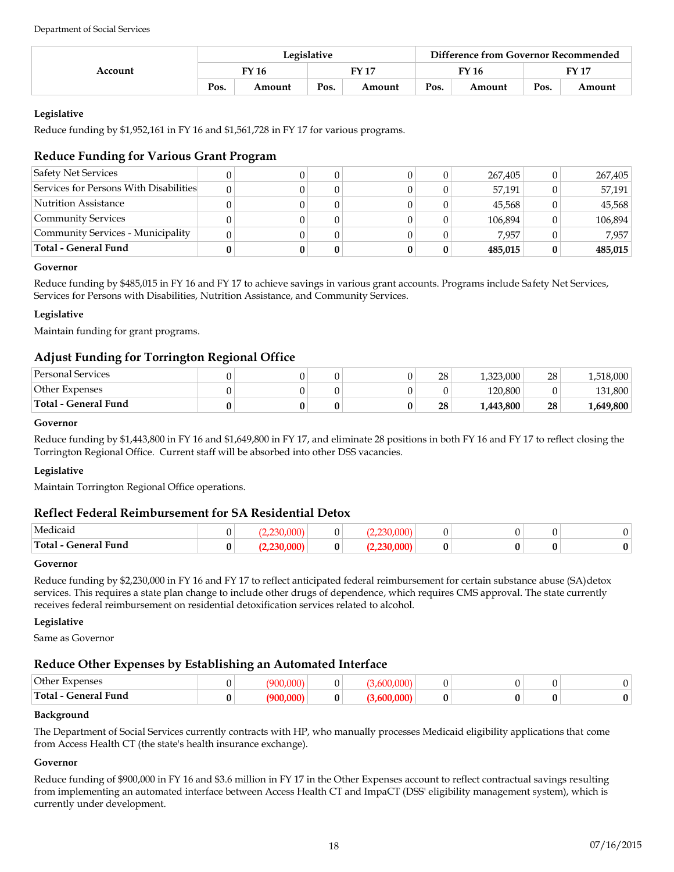|         | Legislative |        |              |        |       | Difference from Governor Recommended |       |        |  |  |
|---------|-------------|--------|--------------|--------|-------|--------------------------------------|-------|--------|--|--|
| Account | FY 16       |        | <b>FY 17</b> |        | FY 16 |                                      | FY 17 |        |  |  |
|         | Pos.        | Amount | Pos.         | Amount | Pos.  | Amount                               | Pos.  | Amount |  |  |

Reduce funding by \$1,952,161 in FY 16 and \$1,561,728 in FY 17 for various programs.

# **Reduce Funding for Various Grant Program**

| Total - General Fund                   |  |  | 485,015 | 485,015 |
|----------------------------------------|--|--|---------|---------|
| Community Services - Municipality      |  |  | 7.957   | 7.957   |
| Community Services                     |  |  | 106,894 | 106,894 |
| Nutrition Assistance                   |  |  | 45,568  | 45,568  |
| Services for Persons With Disabilities |  |  | 57,191  | 57,191  |
| <b>Safety Net Services</b>             |  |  | 267,405 | 267,405 |

### **Governor**

Reduce funding by \$485,015 in FY 16 and FY 17 to achieve savings in various grant accounts. Programs include Safety Net Services, Services for Persons with Disabilities, Nutrition Assistance, and Community Services.

# **Legislative**

Maintain funding for grant programs.

# **Adjust Funding for Torrington Regional Office**

| <b>Personal Services</b> |  |  | 28 | 1,323,000 | 28 | 1,518,000 |
|--------------------------|--|--|----|-----------|----|-----------|
| Other Expenses           |  |  |    | 120.800   |    | 131.800   |
| Total - General Fund     |  |  | 28 | 1,443,800 | 28 | 1,649,800 |

#### **Governor**

Reduce funding by \$1,443,800 in FY 16 and \$1,649,800 in FY 17, and eliminate 28 positions in both FY 16 and FY 17 to reflect closing the Torrington Regional Office. Current staff will be absorbed into other DSS vacancies.

### **Legislative**

Maintain Torrington Regional Office operations.

# **Reflect Federal Reimbursement for SA Residential Detox**

| Medicaid                                             |   | ററ |   | $\mathbf{a}$ |  |  |
|------------------------------------------------------|---|----|---|--------------|--|--|
| $\mathbf{1}$<br>Total -<br>General Fund<br>_ _ _ _ _ | v |    | 0 |              |  |  |

### **Governor**

Reduce funding by \$2,230,000 in FY 16 and FY 17 to reflect anticipated federal reimbursement for certain substance abuse (SA)detox services. This requires a state plan change to include other drugs of dependence, which requires CMS approval. The state currently receives federal reimbursement on residential detoxification services related to alcohol.

### **Legislative**

Same as Governor

# **Reduce Other Expenses by Establishing an Automated Interface**

| Other<br>xpenses                    |  |  |  |  |
|-------------------------------------|--|--|--|--|
| ' Fund<br><b>Total</b><br>' -anarai |  |  |  |  |

### **Background**

The Department of Social Services currently contracts with HP, who manually processes Medicaid eligibility applications that come from Access Health CT (the state's health insurance exchange).

### **Governor**

Reduce funding of \$900,000 in FY 16 and \$3.6 million in FY 17 in the Other Expenses account to reflect contractual savings resulting from implementing an automated interface between Access Health CT and ImpaCT (DSS' eligibility management system), which is currently under development.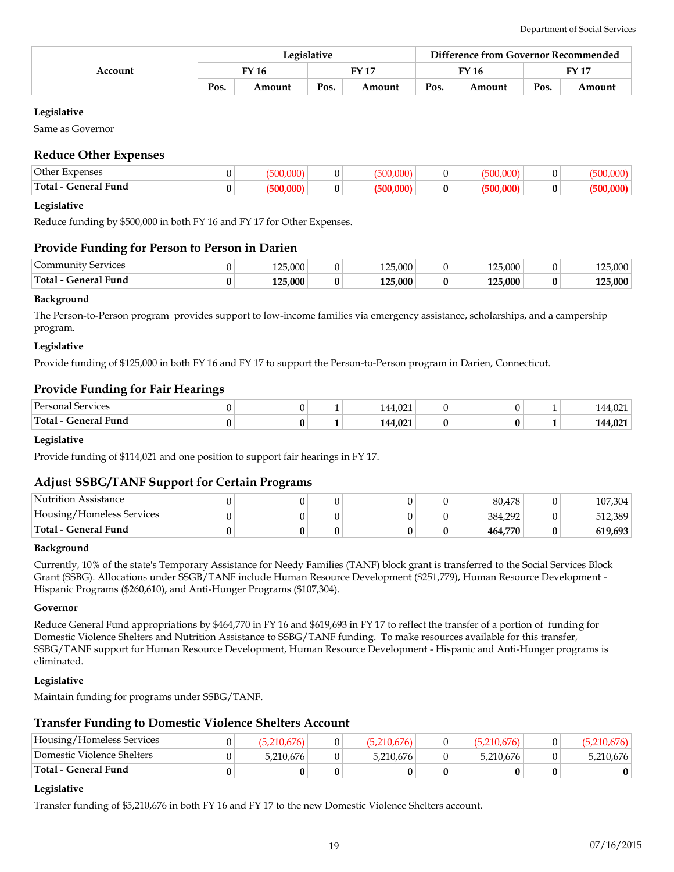|         | Legislative  |        |      |               |      | Difference from Governor Recommended |      |        |  |
|---------|--------------|--------|------|---------------|------|--------------------------------------|------|--------|--|
| Account | <b>FY 16</b> |        |      | $\Gamma$ Y 17 |      | FY 16                                |      | FY 17  |  |
|         | Pos.         | Amount | Pos. | Amount        | Pos. | Amount                               | Pos. | Amount |  |

Same as Governor

# **Reduce Other Expenses**

| Other Expenses                                              |  |   |   |  |  |
|-------------------------------------------------------------|--|---|---|--|--|
| <b>1 17 18</b><br>Total<br>Fund<br>-eneral<br>$\sim$ $\sim$ |  | 0 | v |  |  |

#### **Legislative**

Reduce funding by \$500,000 in both FY 16 and FY 17 for Other Expenses.

# **Provide Funding for Person to Person in Darien**

| <b>Services</b><br>_ommunity | 25.000<br>1 O.E. |   | 125.000     | 5.000<br>1 ገ ୮ | 0 <sup>1</sup> | .000    |
|------------------------------|------------------|---|-------------|----------------|----------------|---------|
| Total-<br>' Funa<br>General  | 125.000          | 0 | $125,000^+$ | 125.000        | 0              | 125.000 |

#### **Background**

The Person-to-Person program provides support to low-income families via emergency assistance, scholarships, and a campership program.

#### **Legislative**

Provide funding of \$125,000 in both FY 16 and FY 17 to support the Person-to-Person program in Darien, Connecticut.

### **Provide Funding for Fair Hearings**

| $P$ <sub>ersonar</sub><br>ervices        |   | 021<br>144,02<br>$\sim$  |  |   | $\sim$            |
|------------------------------------------|---|--------------------------|--|---|-------------------|
| <b>Total</b><br>. Fund<br><b>Leneral</b> | U | 144,021<br>$\sim$ $\sim$ |  | - | 0.21<br>$-11,021$ |

#### **Legislative**

Provide funding of \$114,021 and one position to support fair hearings in FY 17.

# **Adjust SSBG/TANF Support for Certain Programs**

| Nutrition Assistance      |  |  | 80.478  | 107,304 |
|---------------------------|--|--|---------|---------|
| Housing/Homeless Services |  |  | 384.292 | 512,389 |
| Total - General Fund      |  |  | 464.770 | 619,693 |

#### **Background**

Currently, 10% of the state's Temporary Assistance for Needy Families (TANF) block grant is transferred to the Social Services Block Grant (SSBG). Allocations under SSGB/TANF include Human Resource Development (\$251,779), Human Resource Development - Hispanic Programs (\$260,610), and Anti-Hunger Programs (\$107,304).

#### **Governor**

Reduce General Fund appropriations by \$464,770 in FY 16 and \$619,693 in FY 17 to reflect the transfer of a portion of funding for Domestic Violence Shelters and Nutrition Assistance to SSBG/TANF funding. To make resources available for this transfer, SSBG/TANF support for Human Resource Development, Human Resource Development - Hispanic and Anti-Hunger programs is eliminated.

### **Legislative**

Maintain funding for programs under SSBG/TANF.

### **Transfer Funding to Domestic Violence Shelters Account**

| Housing/Homeless Services  |           |           |           |           |
|----------------------------|-----------|-----------|-----------|-----------|
| Domestic Violence Shelters | 5.210.676 | 5,210,676 | 5,210,676 | 5,210,676 |
| Total - General Fund       |           |           |           |           |

#### **Legislative**

Transfer funding of \$5,210,676 in both FY 16 and FY 17 to the new Domestic Violence Shelters account.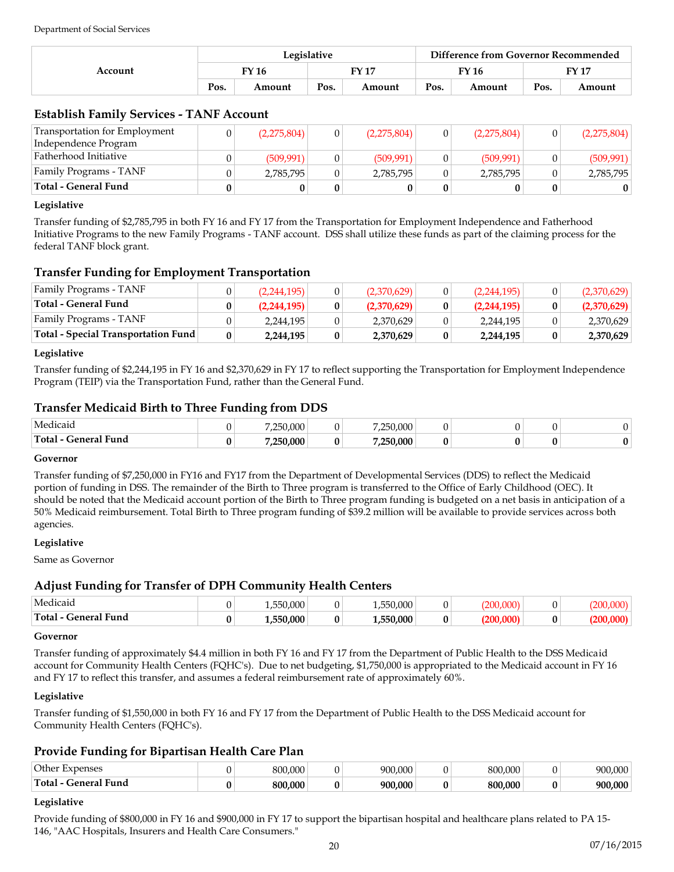| Account | Legislative |        |       |        |       | Difference from Governor Recommended |       |        |  |
|---------|-------------|--------|-------|--------|-------|--------------------------------------|-------|--------|--|
|         | FY 16       |        | FY 17 |        | FY 16 |                                      | FY 17 |        |  |
|         | Pos.        | Amount | Pos.  | Amount | Pos.  | Amount                               | Pos.  | Amount |  |

# **Establish Family Services - TANF Account**

| <b>Transportation for Employment</b> | (2,275,804) | (2,275,804) | (2,275,804) | (2,275,804) |
|--------------------------------------|-------------|-------------|-------------|-------------|
| Independence Program                 |             |             |             |             |
| Fatherhood Initiative                | (509, 991)  | (509.991)   | (509, 991)  | (509, 991)  |
| Family Programs - TANF               | 2,785,795   | 2,785,795   | 2,785,795   | 2,785,795   |
| <b>Total - General Fund</b>          |             |             |             |             |

#### **Legislative**

Transfer funding of \$2,785,795 in both FY 16 and FY 17 from the Transportation for Employment Independence and Fatherhood Initiative Programs to the new Family Programs - TANF account. DSS shall utilize these funds as part of the claiming process for the federal TANF block grant.

# **Transfer Funding for Employment Transportation**

| <b>Total - Special Transportation Fund</b> | 2,244,195   | 0 | 2,370,629   | 2,244,195   | 2,370,629   |
|--------------------------------------------|-------------|---|-------------|-------------|-------------|
| <b>Family Programs - TANF</b>              | 2,244,195   |   | 2,370,629   | 2,244,195   | 2,370,629   |
| <b>Total - General Fund</b>                | (2,244,195) |   | (2,370,629) | (2,244,195) | (2,370,629) |
| Family Programs - TANF                     | (2,244,195) |   | (2,370,629) | (2,244,195) | (2,370,629) |

### **Legislative**

Transfer funding of \$2,244,195 in FY 16 and \$2,370,629 in FY 17 to reflect supporting the Transportation for Employment Independence Program (TEIP) via the Transportation Fund, rather than the General Fund.

# **Transfer Medicaid Birth to Three Funding from DDS**

| Medicaid                | 250.000  |    | 250.000 |  |  |
|-------------------------|----------|----|---------|--|--|
| Total -<br>General Fund | .250.000 | Λ. | 250.000 |  |  |

#### **Governor**

Transfer funding of \$7,250,000 in FY16 and FY17 from the Department of Developmental Services (DDS) to reflect the Medicaid portion of funding in DSS. The remainder of the Birth to Three program is transferred to the Office of Early Childhood (OEC). It should be noted that the Medicaid account portion of the Birth to Three program funding is budgeted on a net basis in anticipation of a 50% Medicaid reimbursement. Total Birth to Three program funding of \$39.2 million will be available to provide services across both agencies.

#### **Legislative**

Same as Governor

# **Adjust Funding for Transfer of DPH Community Health Centers**

| Medicaio                      | 000<br>$- - \alpha$<br>. ,550,000 . |   | 50.000        |  |  |
|-------------------------------|-------------------------------------|---|---------------|--|--|
| .<br>Total<br>Fund<br>General | 50.000<br>$- - \alpha$<br>יי        | 0 | 0.000<br>. הר |  |  |

#### **Governor**

Transfer funding of approximately \$4.4 million in both FY 16 and FY 17 from the Department of Public Health to the DSS Medicaid account for Community Health Centers (FQHC's). Due to net budgeting, \$1,750,000 is appropriated to the Medicaid account in FY 16 and FY 17 to reflect this transfer, and assumes a federal reimbursement rate of approximately 60%.

### **Legislative**

Transfer funding of \$1,550,000 in both FY 16 and FY 17 from the Department of Public Health to the DSS Medicaid account for Community Health Centers (FQHC's).

# **Provide Funding for Bipartisan Health Care Plan**

| $\bigcap_{i=1}^n$<br>aancac<br>تات | 000<br>$\Omega$ | i OOC<br>$\sim$ $\sim$ $\sim$ | .000<br>൦൨൨<br>ົາເ | $\sim$ $\sim$ $\sim$ |
|------------------------------------|-----------------|-------------------------------|--------------------|----------------------|
| $\sim$<br>⊥n+<br>Fund<br>$\sim$    | .000<br>800     | ന്ന<br>900                    | .000<br>۵ΛΛ        | 00Q                  |

### **Legislative**

Provide funding of \$800,000 in FY 16 and \$900,000 in FY 17 to support the bipartisan hospital and healthcare plans related to PA 15- 146, "AAC Hospitals, Insurers and Health Care Consumers."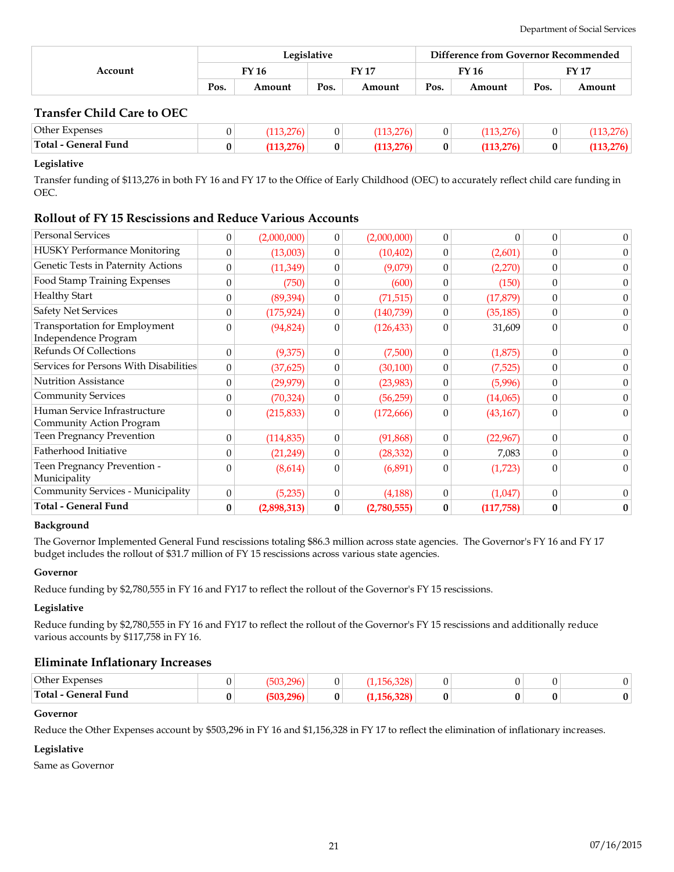|         | Legislative |        |      |        |       | Difference from Governor Recommended |       |        |  |
|---------|-------------|--------|------|--------|-------|--------------------------------------|-------|--------|--|
| Account |             | FY 16  |      | FV 17  | FY 16 |                                      | FY 17 |        |  |
|         | Pos.        | Amount | Pos. | Amount | Pos.  | Amount                               | Pos.  | Amount |  |

# **Transfer Child Care to OEC**

| Other Expenses<br>Total - General Fund |  | 0 | 0<br>$\mathbf{0}$ | ∩<br>. .<br>0 | nı |
|----------------------------------------|--|---|-------------------|---------------|----|
|                                        |  |   |                   |               |    |

### **Legislative**

Transfer funding of \$113,276 in both FY 16 and FY 17 to the Office of Early Childhood (OEC) to accurately reflect child care funding in OEC.

# **Rollout of FY 15 Rescissions and Reduce Various Accounts**

|                                                          | 0                | (2,898,313) | 0                | (2,780,555) | $\bf{0}$ | (117, 758) | 0            | $\bf{0}$ |
|----------------------------------------------------------|------------------|-------------|------------------|-------------|----------|------------|--------------|----------|
| <b>Total - General Fund</b>                              |                  |             |                  |             |          |            |              |          |
| Community Services - Municipality                        | $\mathbf{0}$     | (5,235)     | 0                | (4, 188)    | $\theta$ | (1,047)    | $\Omega$     | $\theta$ |
| Teen Pregnancy Prevention -<br>Municipality              | $\overline{0}$   | (8,614)     | 0                | (6,891)     | $\theta$ | (1,723)    | $\Omega$     | $\Omega$ |
| Fatherhood Initiative                                    | $\theta$         | (21,249)    | 0                | (28, 332)   | $\theta$ | 7,083      | $\Omega$     | $\theta$ |
| <b>Teen Pregnancy Prevention</b>                         | $\boldsymbol{0}$ | (114, 835)  | $\boldsymbol{0}$ | (91,868)    | $\theta$ | (22,967)   | $\theta$     | $\theta$ |
| Human Service Infrastructure<br>Community Action Program | $\theta$         | (215, 833)  | 0                | (172, 666)  | $\theta$ | (43, 167)  | $\theta$     | 0        |
| <b>Community Services</b>                                | $\theta$         | (70, 324)   | 0                | (56, 259)   | $\theta$ | (14,065)   | $\theta$     | $\theta$ |
| <b>Nutrition Assistance</b>                              | $\theta$         | (29, 979)   | 0                | (23,983)    | $\theta$ | (5,996)    | $\Omega$     | $\theta$ |
| Services for Persons With Disabilities                   | $\theta$         | (37, 625)   | 0                | (30,100)    | $\theta$ | (7,525)    | $\Omega$     | 0        |
| Refunds Of Collections                                   | $\mathbf{0}$     | (9,375)     | 0                | (7,500)     | $\theta$ | (1,875)    | $\theta$     | $\theta$ |
| Transportation for Employment<br>Independence Program    | $\theta$         | (94, 824)   | $\boldsymbol{0}$ | (126, 433)  | $\Omega$ | 31,609     | $\theta$     | $\Omega$ |
| <b>Safety Net Services</b>                               | $\theta$         | (175, 924)  | 0                | (140, 739)  | $\theta$ | (35, 185)  | $\theta$     | $\theta$ |
| <b>Healthy Start</b>                                     | $\theta$         | (89, 394)   | 0                | (71, 515)   | $\theta$ | (17, 879)  | $\theta$     | $\theta$ |
| Food Stamp Training Expenses                             | $\theta$         | (750)       | 0                | (600)       | $\theta$ | (150)      | $\theta$     | $\theta$ |
| Genetic Tests in Paternity Actions                       | $\boldsymbol{0}$ | (11,349)    | 0                | (9,079)     | $\theta$ | (2,270)    | $\theta$     | $\theta$ |
| <b>HUSKY Performance Monitoring</b>                      | $\boldsymbol{0}$ | (13,003)    | 0                | (10, 402)   | $\theta$ | (2,601)    | $\theta$     | 0        |
| <b>Personal Services</b>                                 | $\mathbf{0}$     | (2,000,000) | 0                | (2,000,000) | $\theta$ | $\Omega$   | $\mathbf{0}$ | $\theta$ |

#### **Background**

The Governor Implemented General Fund rescissions totaling \$86.3 million across state agencies. The Governor's FY 16 and FY 17 budget includes the rollout of \$31.7 million of FY 15 rescissions across various state agencies.

### **Governor**

Reduce funding by \$2,780,555 in FY 16 and FY17 to reflect the rollout of the Governor's FY 15 rescissions.

#### **Legislative**

Reduce funding by \$2,780,555 in FY 16 and FY17 to reflect the rollout of the Governor's FY 15 rescissions and additionally reduce various accounts by \$117,758 in FY 16.

### **Eliminate Inflationary Increases**

| Other<br>rnenses                         |  |  |  |  |
|------------------------------------------|--|--|--|--|
| $\sim$<br>Total<br>Fund<br>$-$ anara $-$ |  |  |  |  |

#### **Governor**

Reduce the Other Expenses account by \$503,296 in FY 16 and \$1,156,328 in FY 17 to reflect the elimination of inflationary increases.

#### **Legislative**